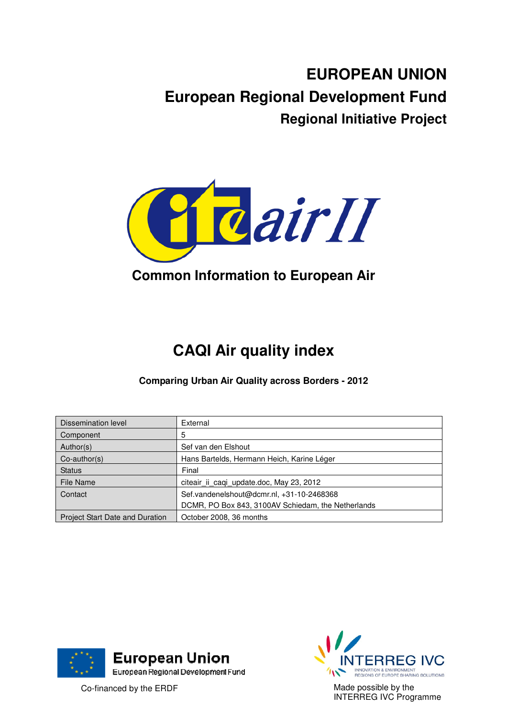# **EUROPEAN UNION European Regional Development Fund Regional Initiative Project**



# **Common Information to European Air**

# **CAQI Air quality index**

**Comparing Urban Air Quality across Borders - 2012** 

| Dissemination level                    | External                                           |
|----------------------------------------|----------------------------------------------------|
| Component                              | 5                                                  |
| Author(s)                              | Sef van den Elshout                                |
| $Co$ -author(s)                        | Hans Bartelds, Hermann Heich, Karine Léger         |
| <b>Status</b>                          | Final                                              |
| File Name                              | citeair ii caqi update.doc, May 23, 2012           |
| Contact                                | Sef.vandenelshout@dcmr.nl, +31-10-2468368          |
|                                        | DCMR, PO Box 843, 3100AV Schiedam, the Netherlands |
| <b>Project Start Date and Duration</b> | October 2008, 36 months                            |





Made possible by the INTERREG IVC Programme

Co-financed by the ERDF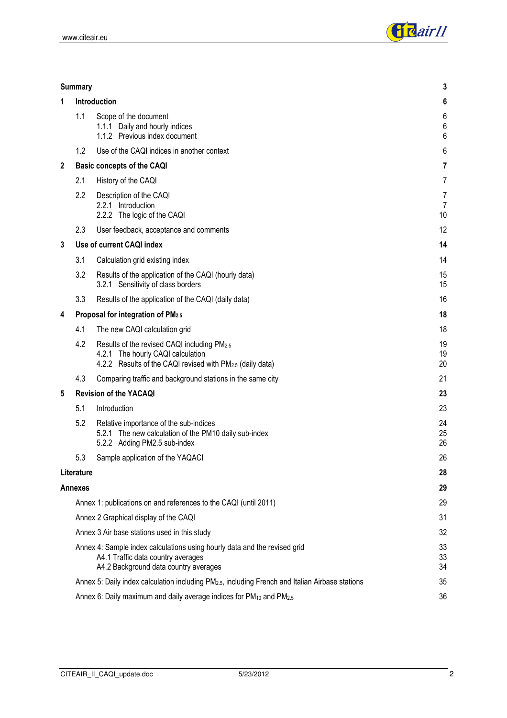

| <b>Summary</b> |  |  |
|----------------|--|--|
|                |  |  |

| 1 |            | Introduction                                                                                                                                              | $\boldsymbol{6}$               |
|---|------------|-----------------------------------------------------------------------------------------------------------------------------------------------------------|--------------------------------|
|   | 1.1        | Scope of the document<br>1.1.1 Daily and hourly indices<br>1.1.2 Previous index document                                                                  | $\,6$<br>$\boldsymbol{6}$<br>6 |
|   | 1.2        | Use of the CAQI indices in another context                                                                                                                | 6                              |
| 2 |            | <b>Basic concepts of the CAQI</b>                                                                                                                         | 7                              |
|   | 2.1        | History of the CAQI                                                                                                                                       | $\overline{7}$                 |
|   | 2.2        | Description of the CAQI<br>2.2.1 Introduction<br>2.2.2 The logic of the CAQI                                                                              | 7<br>$\overline{7}$<br>10      |
|   | 2.3        | User feedback, acceptance and comments                                                                                                                    | 12                             |
| 3 |            | Use of current CAQI index                                                                                                                                 | 14                             |
|   | 3.1        | Calculation grid existing index                                                                                                                           | 14                             |
|   | 3.2        | Results of the application of the CAQI (hourly data)<br>3.2.1 Sensitivity of class borders                                                                | 15<br>15                       |
|   | 3.3        | Results of the application of the CAQI (daily data)                                                                                                       | 16                             |
| 4 |            | Proposal for integration of PM2.5                                                                                                                         | 18                             |
|   | 4.1        | The new CAQI calculation grid                                                                                                                             | 18                             |
|   | 4.2        | Results of the revised CAQI including PM2.5<br>4.2.1 The hourly CAQI calculation<br>4.2.2 Results of the CAQI revised with PM <sub>2.5</sub> (daily data) | 19<br>19<br>20                 |
|   | 4.3        | Comparing traffic and background stations in the same city                                                                                                | 21                             |
| 5 |            | <b>Revision of the YACAQI</b>                                                                                                                             | 23                             |
|   | 5.1        | Introduction                                                                                                                                              | 23                             |
|   | 5.2        | Relative importance of the sub-indices<br>5.2.1 The new calculation of the PM10 daily sub-index<br>5.2.2 Adding PM2.5 sub-index                           | 24<br>25<br>26                 |
|   | 5.3        | Sample application of the YAQACI                                                                                                                          | 26                             |
|   | Literature |                                                                                                                                                           | 28                             |
|   | Annexes    |                                                                                                                                                           | 29                             |
|   |            | Annex 1: publications on and references to the CAQI (until 2011)                                                                                          | 29                             |
|   |            | Annex 2 Graphical display of the CAQI                                                                                                                     | 31                             |
|   |            | Annex 3 Air base stations used in this study                                                                                                              | 32                             |
|   |            | Annex 4: Sample index calculations using hourly data and the revised grid<br>A4.1 Traffic data country averages<br>A4.2 Background data country averages  | 33<br>33<br>34                 |
|   |            | Annex 5: Daily index calculation including PM <sub>2.5</sub> , including French and Italian Airbase stations                                              | 35                             |
|   |            | Annex 6: Daily maximum and daily average indices for PM <sub>10</sub> and PM <sub>2.5</sub>                                                               | 36                             |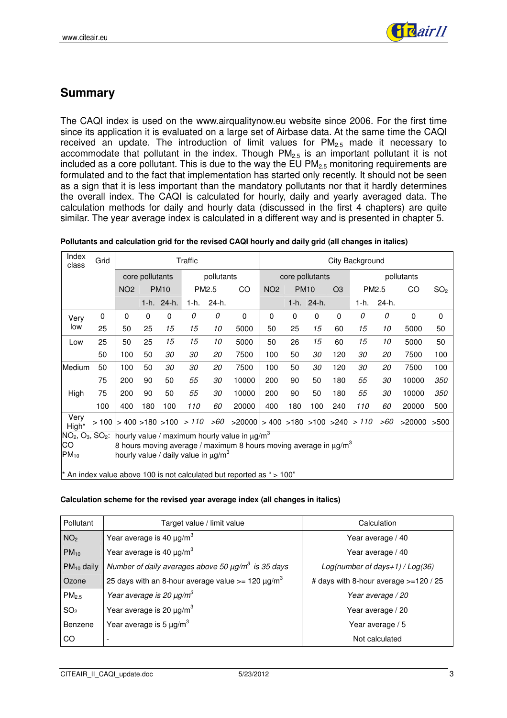

# **Summary**

The CAQI index is used on the www.airqualitynow.eu website since 2006. For the first time since its application it is evaluated on a large set of Airbase data. At the same time the CAQI received an update. The introduction of limit values for  $PM_{2.5}$  made it necessary to accommodate that pollutant in the index. Though  $PM_{2.5}$  is an important pollutant it is not included as a core pollutant. This is due to the way the EU PM $_{2.5}$  monitoring requirements are formulated and to the fact that implementation has started only recently. It should not be seen as a sign that it is less important than the mandatory pollutants nor that it hardly determines the overall index. The CAQI is calculated for hourly, daily and yearly averaged data. The calculation methods for daily and hourly data (discussed in the first 4 chapters) are quite similar. The year average index is calculated in a different way and is presented in chapter 5.

| Pollutants and calculation grid for the revised CAQI hourly and daily grid (all changes in italics) |  |
|-----------------------------------------------------------------------------------------------------|--|
|-----------------------------------------------------------------------------------------------------|--|

| Index<br>class                                                                                                                                                                                                                    | Grid | Traffic    |                 |             |                                        |            | City Background                             |            |                               |            |                |       |       |             |                 |
|-----------------------------------------------------------------------------------------------------------------------------------------------------------------------------------------------------------------------------------|------|------------|-----------------|-------------|----------------------------------------|------------|---------------------------------------------|------------|-------------------------------|------------|----------------|-------|-------|-------------|-----------------|
|                                                                                                                                                                                                                                   |      |            | core pollutants |             |                                        | pollutants |                                             |            | core pollutants<br>pollutants |            |                |       |       |             |                 |
|                                                                                                                                                                                                                                   |      | <b>NO2</b> |                 | <b>PM10</b> | PM2.5                                  |            | CO                                          | <b>NO2</b> | <b>PM10</b>                   |            | O <sub>3</sub> | PM2.5 |       | CO          | SO <sub>2</sub> |
|                                                                                                                                                                                                                                   |      |            |                 | 1-h. 24-h.  | 1-h.                                   | 24-h.      |                                             |            |                               | 1-h. 24-h. |                | 1-h.  | 24-h. |             |                 |
| Very                                                                                                                                                                                                                              | 0    | 0          | 0               | 0           | 0                                      | 0          | $\Omega$                                    | 0          | $\mathbf 0$                   | 0          | $\Omega$       | 0     | 0     | $\mathbf 0$ | $\mathbf 0$     |
| low                                                                                                                                                                                                                               | 25   | 50         | 25              | 15          | 15                                     | 10         | 5000                                        | 50         | 25                            | 15         | 60             | 15    | 10    | 5000        | 50              |
| Low                                                                                                                                                                                                                               | 25   | 50         | 25              | 15          | 15                                     | 10         | 5000                                        | 50         | 26                            | 15         | 60             | 15    | 10    | 5000        | 50              |
|                                                                                                                                                                                                                                   | 50   | 100        | 50              | 30          | 30                                     | 20         | 7500                                        | 100        | 50                            | 30         | 120            | 30    | 20    | 7500        | 100             |
| Medium                                                                                                                                                                                                                            | 50   | 100        | 50              | 30          | 30                                     | 20         | 7500                                        | 100        | 50                            | 30         | 120            | 30    | 20    | 7500        | 100             |
|                                                                                                                                                                                                                                   | 75   | 200        | 90              | 50          | 55                                     | 30         | 10000                                       | 200        | 90                            | 50         | 180            | 55    | 30    | 10000       | 350             |
| High                                                                                                                                                                                                                              | 75   | 200        | 90              | 50          | 55                                     | 30         | 10000                                       | 200        | 90                            | 50         | 180            | 55    | 30    | 10000       | <i>350</i>      |
|                                                                                                                                                                                                                                   | 100  | 400        | 180             | 100         | 110                                    | 60         | 20000                                       | 400        | 180                           | 100        | 240            | 110   | 60    | 20000       | 500             |
| Very<br>High*                                                                                                                                                                                                                     | >100 |            |                 |             | $>$ 400 $>$ 180 $>$ 100 $>$ 110 $>$ 60 |            | $>20000$ $>400$ $>180$ $>100$ $>240$ $>110$ |            |                               |            |                |       | >60   | >20000      | >500            |
| $NO2, O3, SO2:$ hourly value / maximum hourly value in $\mu q/m3$<br>CO<br>8 hours moving average / maximum 8 hours moving average in $\mu$ g/m <sup>3</sup><br>$PM_{10}$<br>hourly value / daily value in $\mu$ g/m <sup>3</sup> |      |            |                 |             |                                        |            |                                             |            |                               |            |                |       |       |             |                 |
| $^*$ An index value above 100 is not calculated but reported as " > 100"                                                                                                                                                          |      |            |                 |             |                                        |            |                                             |            |                               |            |                |       |       |             |                 |

#### **Calculation scheme for the revised year average index (all changes in italics)**

| Pollutant         | Target value / limit value                                          | Calculation                           |
|-------------------|---------------------------------------------------------------------|---------------------------------------|
| NO <sub>2</sub>   | Year average is 40 $\mu$ g/m <sup>3</sup>                           | Year average / 40                     |
| $PM_{10}$         | Year average is 40 $\mu$ g/m <sup>3</sup>                           | Year average / 40                     |
| $PM_{10}$ daily   | Number of daily averages above 50 $\mu$ g/m <sup>3</sup> is 35 days | Log(number of days+1) / $Log(36)$     |
| Ozone             | 25 days with an 8-hour average value $>= 120 \mu g/m^3$             | # days with 8-hour average >=120 / 25 |
| PM <sub>2.5</sub> | Year average is 20 $\mu$ g/m <sup>3</sup>                           | Year average / 20                     |
| SO <sub>2</sub>   | Year average is 20 $\mu$ g/m <sup>3</sup>                           | Year average / 20                     |
| Benzene           | Year average is 5 $\mu$ g/m <sup>3</sup>                            | Year average / 5                      |
| CO                |                                                                     | Not calculated                        |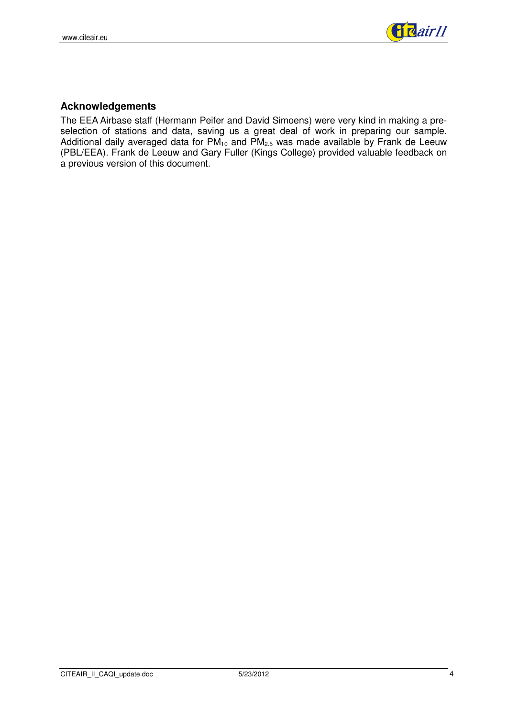

#### **Acknowledgements**

The EEA Airbase staff (Hermann Peifer and David Simoens) were very kind in making a preselection of stations and data, saving us a great deal of work in preparing our sample. Additional daily averaged data for  $PM_{10}$  and  $PM_{2.5}$  was made available by Frank de Leeuw (PBL/EEA). Frank de Leeuw and Gary Fuller (Kings College) provided valuable feedback on a previous version of this document.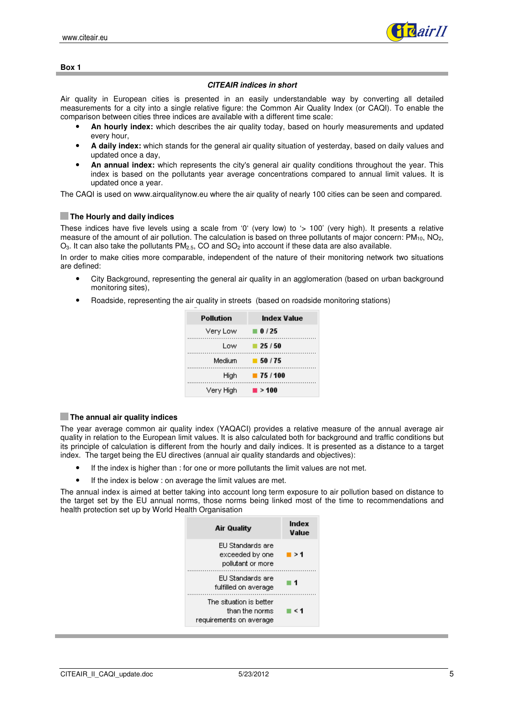

#### **Box 1**

#### **CITEAIR indices in short**

Air quality in European cities is presented in an easily understandable way by converting all detailed measurements for a city into a single relative figure: the Common Air Quality Index (or CAQI). To enable the comparison between cities three indices are available with a different time scale:

- **An hourly index:** which describes the air quality today, based on hourly measurements and updated every hour,
- **A daily index:** which stands for the general air quality situation of yesterday, based on daily values and updated once a day,
- **An annual index:** which represents the city's general air quality conditions throughout the year. This index is based on the pollutants year average concentrations compared to annual limit values. It is updated once a year.

The CAQI is used on www.airqualitynow.eu where the air quality of nearly 100 cities can be seen and compared.

#### $\blacksquare$  The Hourly and daily indices

These indices have five levels using a scale from '0' (very low) to '> 100' (very high). It presents a relative measure of the amount of air pollution. The calculation is based on three pollutants of major concern:  $PM_{10}$ ,  $NO<sub>2</sub>$ ,  $O_3$ . It can also take the pollutants PM<sub>2.5</sub>, CO and SO<sub>2</sub> into account if these data are also available.

In order to make cities more comparable, independent of the nature of their monitoring network two situations are defined:

- City Background, representing the general air quality in an agglomeration (based on urban background monitoring sites),
- Roadside, representing the air quality in streets (based on roadside monitoring stations)

| Pollution | Index Value             |
|-----------|-------------------------|
| Very Low  | $\blacksquare$ 0/25     |
| Low       | $-25/50$                |
| Medium    | $-50/75$                |
| Hiah      | $\blacksquare$ 75 / 100 |
| Very High | $\blacksquare$ > 100    |

#### **The annual air quality indices**

The year average common air quality index (YAQACI) provides a relative measure of the annual average air quality in relation to the European limit values. It is also calculated both for background and traffic conditions but its principle of calculation is different from the hourly and daily indices. It is presented as a distance to a target index. The target being the EU directives (annual air quality standards and objectives):

- If the index is higher than : for one or more pollutants the limit values are not met.
- If the index is below : on average the limit values are met.

The annual index is aimed at better taking into account long term exposure to air pollution based on distance to the target set by the EU annual norms, those norms being linked most of the time to recommendations and health protection set up by World Health Organisation

| <b>Air Quality</b>                                                   | Index<br>Value |
|----------------------------------------------------------------------|----------------|
| ELI Standards are<br>exceeded by one<br>pollutant or more            | >1             |
| EU Standards are<br>fulfilled on average                             |                |
| The situation is better<br>than the norms<br>requirements on average | ← 1            |
|                                                                      |                |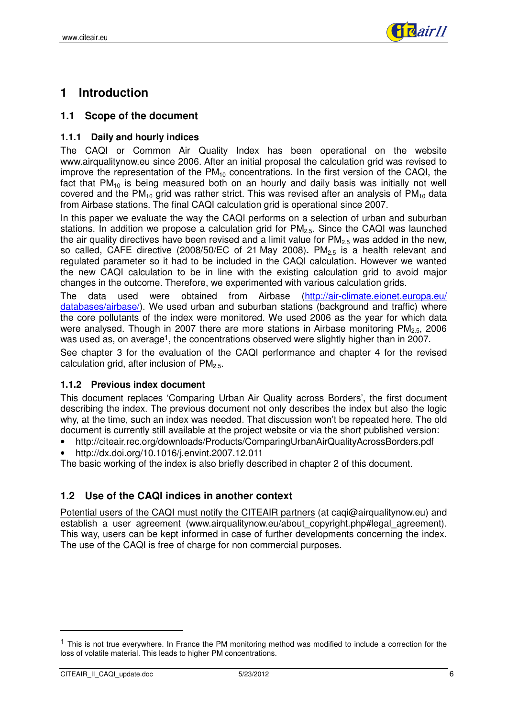

## **1 Introduction**

#### **1.1 Scope of the document**

#### **1.1.1 Daily and hourly indices**

The CAQI or Common Air Quality Index has been operational on the website www.airqualitynow.eu since 2006. After an initial proposal the calculation grid was revised to improve the representation of the  $PM_{10}$  concentrations. In the first version of the CAQI, the fact that  $PM_{10}$  is being measured both on an hourly and daily basis was initially not well covered and the PM<sub>10</sub> grid was rather strict. This was revised after an analysis of PM<sub>10</sub> data from Airbase stations. The final CAQI calculation grid is operational since 2007.

In this paper we evaluate the way the CAQI performs on a selection of urban and suburban stations. In addition we propose a calculation grid for  $PM_{2.5}$ . Since the CAQI was launched the air quality directives have been revised and a limit value for  $PM<sub>2.5</sub>$  was added in the new, so called, CAFE directive (2008/50/EC of 21 May 2008). PM<sub>2.5</sub> is a health relevant and regulated parameter so it had to be included in the CAQI calculation. However we wanted the new CAQI calculation to be in line with the existing calculation grid to avoid major changes in the outcome. Therefore, we experimented with various calculation grids.

The data used were obtained from Airbase (http://air-climate.eionet.europa.eu/ databases/airbase/). We used urban and suburban stations (background and traffic) where the core pollutants of the index were monitored. We used 2006 as the year for which data were analysed. Though in 2007 there are more stations in Airbase monitoring  $PM<sub>2.5</sub>$ , 2006 was used as, on average<sup>1</sup>, the concentrations observed were slightly higher than in 2007.

See chapter 3 for the evaluation of the CAQI performance and chapter 4 for the revised calculation grid, after inclusion of  $PM_{2.5}$ .

#### **1.1.2 Previous index document**

This document replaces 'Comparing Urban Air Quality across Borders', the first document describing the index. The previous document not only describes the index but also the logic why, at the time, such an index was needed. That discussion won't be repeated here. The old document is currently still available at the project website or via the short published version:

- http://citeair.rec.org/downloads/Products/ComparingUrbanAirQualityAcrossBorders.pdf
- http://dx.doi.org/10.1016/j.envint.2007.12.011

The basic working of the index is also briefly described in chapter 2 of this document.

### **1.2 Use of the CAQI indices in another context**

Potential users of the CAQI must notify the CITEAIR partners (at caqi@airqualitynow.eu) and establish a user agreement (www.airqualitynow.eu/about copyright.php#legal agreement). This way, users can be kept informed in case of further developments concerning the index. The use of the CAQI is free of charge for non commercial purposes.

<sup>&</sup>lt;sup>1</sup> This is not true everywhere. In France the PM monitoring method was modified to include a correction for the loss of volatile material. This leads to higher PM concentrations.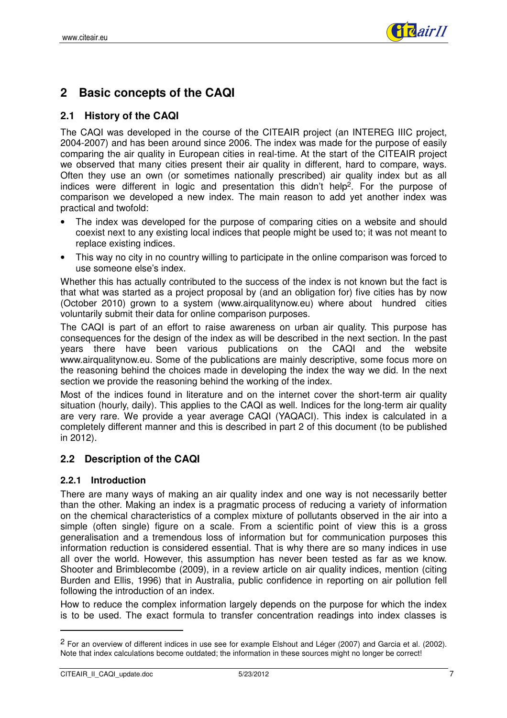

# **2 Basic concepts of the CAQI**

### **2.1 History of the CAQI**

The CAQI was developed in the course of the CITEAIR project (an INTEREG IIIC project, 2004-2007) and has been around since 2006. The index was made for the purpose of easily comparing the air quality in European cities in real-time. At the start of the CITEAIR project we observed that many cities present their air quality in different, hard to compare, ways. Often they use an own (or sometimes nationally prescribed) air quality index but as all indices were different in logic and presentation this didn't help2. For the purpose of comparison we developed a new index. The main reason to add yet another index was practical and twofold:

- The index was developed for the purpose of comparing cities on a website and should coexist next to any existing local indices that people might be used to; it was not meant to replace existing indices.
- This way no city in no country willing to participate in the online comparison was forced to use someone else's index.

Whether this has actually contributed to the success of the index is not known but the fact is that what was started as a project proposal by (and an obligation for) five cities has by now (October 2010) grown to a system (www.airqualitynow.eu) where about hundred cities voluntarily submit their data for online comparison purposes.

The CAQI is part of an effort to raise awareness on urban air quality. This purpose has consequences for the design of the index as will be described in the next section. In the past years there have been various publications on the CAQI and the website www.airqualitynow.eu. Some of the publications are mainly descriptive, some focus more on the reasoning behind the choices made in developing the index the way we did. In the next section we provide the reasoning behind the working of the index.

Most of the indices found in literature and on the internet cover the short-term air quality situation (hourly, daily). This applies to the CAQI as well. Indices for the long-term air quality are very rare. We provide a year average CAQI (YAQACI). This index is calculated in a completely different manner and this is described in part 2 of this document (to be published in 2012).

### **2.2 Description of the CAQI**

#### **2.2.1 Introduction**

There are many ways of making an air quality index and one way is not necessarily better than the other. Making an index is a pragmatic process of reducing a variety of information on the chemical characteristics of a complex mixture of pollutants observed in the air into a simple (often single) figure on a scale. From a scientific point of view this is a gross generalisation and a tremendous loss of information but for communication purposes this information reduction is considered essential. That is why there are so many indices in use all over the world. However, this assumption has never been tested as far as we know. Shooter and Brimblecombe (2009), in a review article on air quality indices, mention (citing Burden and Ellis, 1996) that in Australia, public confidence in reporting on air pollution fell following the introduction of an index.

How to reduce the complex information largely depends on the purpose for which the index is to be used. The exact formula to transfer concentration readings into index classes is

<sup>2</sup> For an overview of different indices in use see for example Elshout and Léger (2007) and Garcia et al. (2002). Note that index calculations become outdated; the information in these sources might no longer be correct!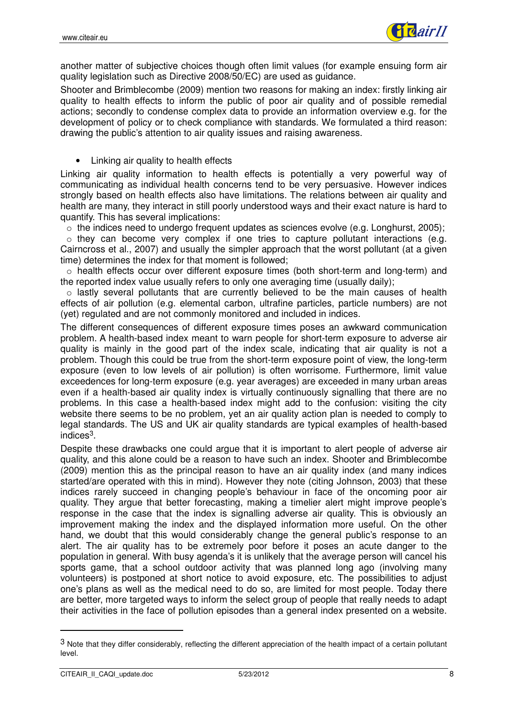

another matter of subjective choices though often limit values (for example ensuing form air quality legislation such as Directive 2008/50/EC) are used as guidance.

Shooter and Brimblecombe (2009) mention two reasons for making an index: firstly linking air quality to health effects to inform the public of poor air quality and of possible remedial actions; secondly to condense complex data to provide an information overview e.g. for the development of policy or to check compliance with standards. We formulated a third reason: drawing the public's attention to air quality issues and raising awareness.

• Linking air quality to health effects

Linking air quality information to health effects is potentially a very powerful way of communicating as individual health concerns tend to be very persuasive. However indices strongly based on health effects also have limitations. The relations between air quality and health are many, they interact in still poorly understood ways and their exact nature is hard to quantify. This has several implications:

o the indices need to undergo frequent updates as sciences evolve (e.g. Longhurst, 2005);

o they can become very complex if one tries to capture pollutant interactions (e.g. Cairncross et al., 2007) and usually the simpler approach that the worst pollutant (at a given time) determines the index for that moment is followed;

 $\circ$  health effects occur over different exposure times (both short-term and long-term) and the reported index value usually refers to only one averaging time (usually daily);

o lastly several pollutants that are currently believed to be the main causes of health effects of air pollution (e.g. elemental carbon, ultrafine particles, particle numbers) are not (yet) regulated and are not commonly monitored and included in indices.

The different consequences of different exposure times poses an awkward communication problem. A health-based index meant to warn people for short-term exposure to adverse air quality is mainly in the good part of the index scale, indicating that air quality is not a problem. Though this could be true from the short-term exposure point of view, the long-term exposure (even to low levels of air pollution) is often worrisome. Furthermore, limit value exceedences for long-term exposure (e.g. year averages) are exceeded in many urban areas even if a health-based air quality index is virtually continuously signalling that there are no problems. In this case a health-based index might add to the confusion: visiting the city website there seems to be no problem, yet an air quality action plan is needed to comply to legal standards. The US and UK air quality standards are typical examples of health-based indices3.

Despite these drawbacks one could argue that it is important to alert people of adverse air quality, and this alone could be a reason to have such an index. Shooter and Brimblecombe (2009) mention this as the principal reason to have an air quality index (and many indices started/are operated with this in mind). However they note (citing Johnson, 2003) that these indices rarely succeed in changing people's behaviour in face of the oncoming poor air quality. They argue that better forecasting, making a timelier alert might improve people's response in the case that the index is signalling adverse air quality. This is obviously an improvement making the index and the displayed information more useful. On the other hand, we doubt that this would considerably change the general public's response to an alert. The air quality has to be extremely poor before it poses an acute danger to the population in general. With busy agenda's it is unlikely that the average person will cancel his sports game, that a school outdoor activity that was planned long ago (involving many volunteers) is postponed at short notice to avoid exposure, etc. The possibilities to adjust one's plans as well as the medical need to do so, are limited for most people. Today there are better, more targeted ways to inform the select group of people that really needs to adapt their activities in the face of pollution episodes than a general index presented on a website.

<sup>&</sup>lt;sup>3</sup> Note that they differ considerably, reflecting the different appreciation of the health impact of a certain pollutant level.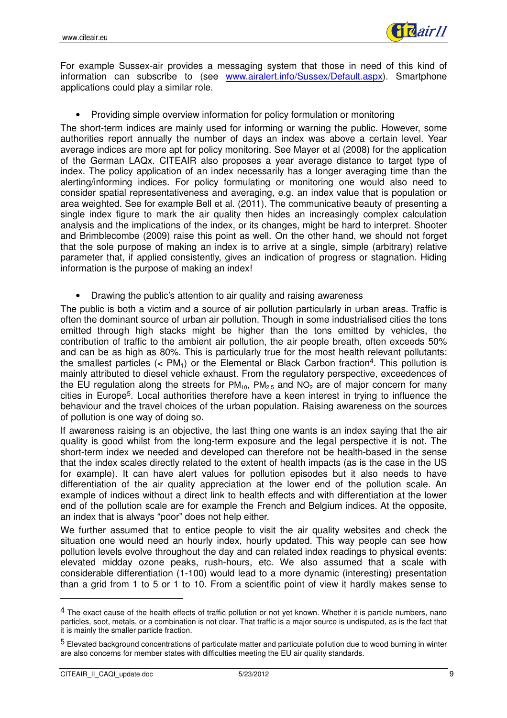

For example Sussex-air provides a messaging system that those in need of this kind of information can subscribe to (see www.airalert.info/Sussex/Default.aspx). Smartphone applications could play a similar role.

• Providing simple overview information for policy formulation or monitoring

The short-term indices are mainly used for informing or warning the public. However, some authorities report annually the number of days an index was above a certain level. Year average indices are more apt for policy monitoring. See Mayer et al (2008) for the application of the German LAQx. CITEAIR also proposes a year average distance to target type of index. The policy application of an index necessarily has a longer averaging time than the alerting/informing indices. For policy formulating or monitoring one would also need to consider spatial representativeness and averaging, e.g. an index value that is population or area weighted. See for example Bell et al. (2011). The communicative beauty of presenting a single index figure to mark the air quality then hides an increasingly complex calculation analysis and the implications of the index, or its changes, might be hard to interpret. Shooter and Brimblecombe (2009) raise this point as well. On the other hand, we should not forget that the sole purpose of making an index is to arrive at a single, simple (arbitrary) relative parameter that, if applied consistently, gives an indication of progress or stagnation. Hiding information is the purpose of making an index!

• Drawing the public's attention to air quality and raising awareness

The public is both a victim and a source of air pollution particularly in urban areas. Traffic is often the dominant source of urban air pollution. Though in some industrialised cities the tons emitted through high stacks might be higher than the tons emitted by vehicles, the contribution of traffic to the ambient air pollution, the air people breath, often exceeds 50% and can be as high as 80%. This is particularly true for the most health relevant pollutants: the smallest particles  $(< PM_1)$  or the Elemental or Black Carbon fraction<sup>4</sup>. This pollution is mainly attributed to diesel vehicle exhaust. From the regulatory perspective, exceedences of the EU regulation along the streets for  $PM_{10}$ ,  $PM_{2.5}$  and  $NO<sub>2</sub>$  are of major concern for many cities in Europe5. Local authorities therefore have a keen interest in trying to influence the behaviour and the travel choices of the urban population. Raising awareness on the sources of pollution is one way of doing so.

If awareness raising is an objective, the last thing one wants is an index saying that the air quality is good whilst from the long-term exposure and the legal perspective it is not. The short-term index we needed and developed can therefore not be health-based in the sense that the index scales directly related to the extent of health impacts (as is the case in the US for example). It can have alert values for pollution episodes but it also needs to have differentiation of the air quality appreciation at the lower end of the pollution scale. An example of indices without a direct link to health effects and with differentiation at the lower end of the pollution scale are for example the French and Belgium indices. At the opposite, an index that is always "poor" does not help either.

We further assumed that to entice people to visit the air quality websites and check the situation one would need an hourly index, hourly updated. This way people can see how pollution levels evolve throughout the day and can related index readings to physical events: elevated midday ozone peaks, rush-hours, etc. We also assumed that a scale with considerable differentiation (1-100) would lead to a more dynamic (interesting) presentation than a grid from 1 to 5 or 1 to 10. From a scientific point of view it hardly makes sense to

<sup>&</sup>lt;sup>4</sup> The exact cause of the health effects of traffic pollution or not yet known. Whether it is particle numbers, nano particles, soot, metals, or a combination is not clear. That traffic is a major source is undisputed, as is the fact that it is mainly the smaller particle fraction.

<sup>5</sup> Elevated background concentrations of particulate matter and particulate pollution due to wood burning in winter are also concerns for member states with difficulties meeting the EU air quality standards.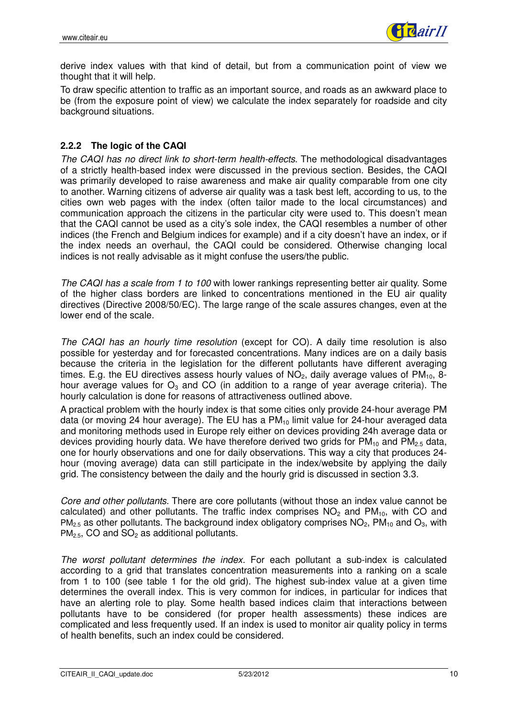

derive index values with that kind of detail, but from a communication point of view we thought that it will help.

To draw specific attention to traffic as an important source, and roads as an awkward place to be (from the exposure point of view) we calculate the index separately for roadside and city background situations.

#### **2.2.2 The logic of the CAQI**

The CAQI has no direct link to short-term health-effects. The methodological disadvantages of a strictly health-based index were discussed in the previous section. Besides, the CAQI was primarily developed to raise awareness and make air quality comparable from one city to another. Warning citizens of adverse air quality was a task best left, according to us, to the cities own web pages with the index (often tailor made to the local circumstances) and communication approach the citizens in the particular city were used to. This doesn't mean that the CAQI cannot be used as a city's sole index, the CAQI resembles a number of other indices (the French and Belgium indices for example) and if a city doesn't have an index, or if the index needs an overhaul, the CAQI could be considered. Otherwise changing local indices is not really advisable as it might confuse the users/the public.

The CAQI has a scale from 1 to 100 with lower rankings representing better air quality. Some of the higher class borders are linked to concentrations mentioned in the EU air quality directives (Directive 2008/50/EC). The large range of the scale assures changes, even at the lower end of the scale.

The CAQI has an hourly time resolution (except for CO). A daily time resolution is also possible for yesterday and for forecasted concentrations. Many indices are on a daily basis because the criteria in the legislation for the different pollutants have different averaging times. E.g. the EU directives assess hourly values of  $NO<sub>2</sub>$ , daily average values of  $PM<sub>10</sub>$ , 8hour average values for  $O_3$  and CO (in addition to a range of year average criteria). The hourly calculation is done for reasons of attractiveness outlined above.

A practical problem with the hourly index is that some cities only provide 24-hour average PM data (or moving 24 hour average). The EU has a  $PM_{10}$  limit value for 24-hour averaged data and monitoring methods used in Europe rely either on devices providing 24h average data or devices providing hourly data. We have therefore derived two grids for  $PM_{10}$  and  $PM_{2.5}$  data, one for hourly observations and one for daily observations. This way a city that produces 24 hour (moving average) data can still participate in the index/website by applying the daily grid. The consistency between the daily and the hourly grid is discussed in section 3.3.

Core and other pollutants. There are core pollutants (without those an index value cannot be calculated) and other pollutants. The traffic index comprises  $NO<sub>2</sub>$  and  $PM<sub>10</sub>$ , with CO and  $PM<sub>2.5</sub>$  as other pollutants. The background index obligatory comprises  $NO<sub>2</sub>$ ,  $PM<sub>10</sub>$  and  $O<sub>3</sub>$ , with  $PM<sub>2.5</sub>$ , CO and SO<sub>2</sub> as additional pollutants.

The worst pollutant determines the index. For each pollutant a sub-index is calculated according to a grid that translates concentration measurements into a ranking on a scale from 1 to 100 (see table 1 for the old grid). The highest sub-index value at a given time determines the overall index. This is very common for indices, in particular for indices that have an alerting role to play. Some health based indices claim that interactions between pollutants have to be considered (for proper health assessments) these indices are complicated and less frequently used. If an index is used to monitor air quality policy in terms of health benefits, such an index could be considered.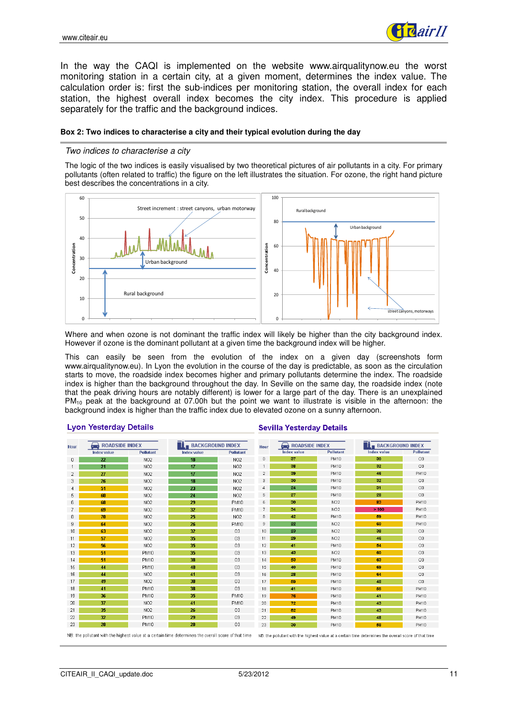

In the way the CAQI is implemented on the website www.airqualitynow.eu the worst monitoring station in a certain city, at a given moment, determines the index value. The calculation order is: first the sub-indices per monitoring station, the overall index for each station, the highest overall index becomes the city index. This procedure is applied separately for the traffic and the background indices.

#### **Box 2: Two indices to characterise a city and their typical evolution during the day**

#### Two indices to characterise a city

The logic of the two indices is easily visualised by two theoretical pictures of air pollutants in a city. For primary pollutants (often related to traffic) the figure on the left illustrates the situation. For ozone, the right hand picture best describes the concentrations in a city.



Where and when ozone is not dominant the traffic index will likely be higher than the city background index. However if ozone is the dominant pollutant at a given time the background index will be higher.

This can easily be seen from the evolution of the index on a given day (screenshots form www.airqualitynow.eu). In Lyon the evolution in the course of the day is predictable, as soon as the circulation starts to move, the roadside index becomes higher and primary pollutants determine the index. The roadside index is higher than the background throughout the day. In Seville on the same day, the roadside index (note that the peak driving hours are notably different) is lower for a large part of the day. There is an unexplained PM<sub>10</sub> peak at the background at 07.00h but the point we want to illustrate is visible in the afternoon: the background index is higher than the traffic index due to elevated ozone on a sunny afternoon.

#### **Lyon Yesterday Details**

#### **Sevilla Yesterday Details**

| <b>Hour</b> | <b>ROADSIDE INDEX</b>                                                                                                                                                                                        |                  | <b>BACKGROUND INDEX</b> |                  | Hour                                      | $\leftrightarrow$ ROADSIDE INDEX |                  | <b>BACKGROUND INDEX</b> |                  |  |  |  |
|-------------|--------------------------------------------------------------------------------------------------------------------------------------------------------------------------------------------------------------|------------------|-------------------------|------------------|-------------------------------------------|----------------------------------|------------------|-------------------------|------------------|--|--|--|
|             | Index value                                                                                                                                                                                                  | <b>Pollutant</b> | <b>Index value</b>      | <b>Pollutant</b> |                                           | <b>Index value</b>               | <b>Pollutant</b> | <b>Index value</b>      | <b>Pollutant</b> |  |  |  |
| 0           | 22                                                                                                                                                                                                           | NO <sub>2</sub>  | 18                      | <b>NO2</b>       | $\begin{array}{c} \mathbf{0} \end{array}$ | -37                              | <b>PM10</b>      | 30                      | O3               |  |  |  |
|             | 21                                                                                                                                                                                                           | NO <sub>2</sub>  | 17                      | NO <sub>2</sub>  |                                           | 38                               | <b>PM10</b>      | 32                      | O <sub>3</sub>   |  |  |  |
| 2           | 27                                                                                                                                                                                                           | NO <sub>2</sub>  | 17                      | NO <sub>2</sub>  | $\overline{2}$                            | 39                               | PM10             | 46                      | PM10             |  |  |  |
| 3           | 26                                                                                                                                                                                                           | NO <sub>2</sub>  | 18                      | NO <sub>2</sub>  | 3                                         | 30                               | PM10             | 32                      | O3               |  |  |  |
|             | 51                                                                                                                                                                                                           | NO <sub>2</sub>  | 23                      | NO <sub>2</sub>  | 4                                         | 24                               | <b>PM10</b>      | 31                      | O <sub>3</sub>   |  |  |  |
| 5           | 60                                                                                                                                                                                                           | NO <sub>2</sub>  | 24                      | NO <sub>2</sub>  | 5                                         | 27                               | PM10             | 28                      | O3               |  |  |  |
| 6           | 68                                                                                                                                                                                                           | NO <sub>2</sub>  | 29                      | <b>PM10</b>      | 6                                         | 30                               | NO <sub>2</sub>  | 83                      | PM10             |  |  |  |
| 7           | 69                                                                                                                                                                                                           | NO <sub>2</sub>  | 32                      | PM10             | 7                                         | 34                               | NO <sub>2</sub>  | >100                    | <b>PM10</b>      |  |  |  |
| 8           | 70                                                                                                                                                                                                           | NO <sub>2</sub>  | 25                      | NO <sub>2</sub>  | 8                                         | 42                               | PM10             | 59                      | <b>PM10</b>      |  |  |  |
| 9           | 64                                                                                                                                                                                                           | NO <sub>2</sub>  | 26                      | <b>PM10</b>      | 9                                         | 22                               | NO <sub>2</sub>  | 60                      | PM10             |  |  |  |
| 10          | 63                                                                                                                                                                                                           | NO <sub>2</sub>  | 32                      | 03               | 10                                        | 23                               | NO <sub>2</sub>  | 38                      | O3               |  |  |  |
| 11          | 57                                                                                                                                                                                                           | NO <sub>2</sub>  | 35                      | 03               | 11                                        | 29                               | NO <sub>2</sub>  | 46                      | O3               |  |  |  |
| 12          | 56                                                                                                                                                                                                           | NO <sub>2</sub>  | 35                      | 03               | 12                                        | 41                               | PM10             | 54                      | O3               |  |  |  |
| 13          | 51                                                                                                                                                                                                           | <b>PM10</b>      | 35                      | 03               | 13                                        | 43                               | NO <sub>2</sub>  | 60                      | O <sub>3</sub>   |  |  |  |
| 14          | 51                                                                                                                                                                                                           | <b>PM10</b>      | 38                      | 03               | 14                                        | 53                               | <b>PM10</b>      | 63                      | O3               |  |  |  |
| 15          | 44                                                                                                                                                                                                           | <b>PM10</b>      | 40                      | O <sub>3</sub>   | 15                                        | 40                               | PM10             | 69                      | O <sub>3</sub>   |  |  |  |
| 16          | 44                                                                                                                                                                                                           | NO <sub>2</sub>  | 41                      | 03               | 16                                        | 28                               | <b>PM10</b>      | 64                      | O3               |  |  |  |
| 17          | 49                                                                                                                                                                                                           | NO <sub>2</sub>  | 38                      | O3               | 17                                        | 59                               | PM10             | 48                      | 03               |  |  |  |
| 18          | 41                                                                                                                                                                                                           | <b>PM10</b>      | 38                      | 03               | 18                                        | 41                               | PM10             | 55                      | <b>PM10</b>      |  |  |  |
| 19          | 36                                                                                                                                                                                                           | <b>PM10</b>      | 35                      | <b>PM10</b>      | 19                                        | 76                               | PM10             | 41                      | <b>PM10</b>      |  |  |  |
| 20          | 37                                                                                                                                                                                                           | NO <sub>2</sub>  | 41                      | PM10             | 20                                        | 72                               | PM10             | 43                      | <b>PM10</b>      |  |  |  |
| 21          | 35                                                                                                                                                                                                           | NO <sub>2</sub>  | 26                      | 03               | 21                                        | 52                               | PM10             | 43                      | <b>PM10</b>      |  |  |  |
| 22          | 32                                                                                                                                                                                                           | <b>PM10</b>      | 29                      | O3               | 22                                        | 49                               | PM10             | 48                      | PM10             |  |  |  |
| 23          | 28                                                                                                                                                                                                           | <b>PM10</b>      | 28                      | O3               | 23                                        | 30                               | <b>PM10</b>      | 58                      | <b>PM10</b>      |  |  |  |
|             | NB: the pollutant with the highest value at a certain time determines the overall score of that time<br>NB: the pollutant with the highest value at a certain time determines the overall score of that time |                  |                         |                  |                                           |                                  |                  |                         |                  |  |  |  |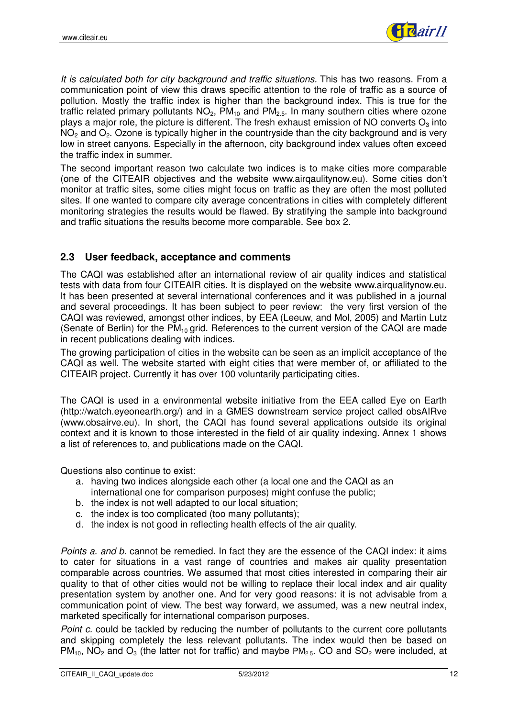

It is calculated both for city background and traffic situations. This has two reasons. From a communication point of view this draws specific attention to the role of traffic as a source of pollution. Mostly the traffic index is higher than the background index. This is true for the traffic related primary pollutants  $NO<sub>2</sub>$ , PM<sub>10</sub> and PM<sub>2.5</sub>. In many southern cities where ozone plays a major role, the picture is different. The fresh exhaust emission of NO converts  $O_3$  into  $NO<sub>2</sub>$  and  $O<sub>2</sub>$ . Ozone is typically higher in the countryside than the city background and is very low in street canyons. Especially in the afternoon, city background index values often exceed the traffic index in summer.

The second important reason two calculate two indices is to make cities more comparable (one of the CITEAIR objectives and the website www.airqaulitynow.eu). Some cities don't monitor at traffic sites, some cities might focus on traffic as they are often the most polluted sites. If one wanted to compare city average concentrations in cities with completely different monitoring strategies the results would be flawed. By stratifying the sample into background and traffic situations the results become more comparable. See box 2.

### **2.3 User feedback, acceptance and comments**

The CAQI was established after an international review of air quality indices and statistical tests with data from four CITEAIR cities. It is displayed on the website www.airqualitynow.eu. It has been presented at several international conferences and it was published in a journal and several proceedings. It has been subject to peer review: the very first version of the CAQI was reviewed, amongst other indices, by EEA (Leeuw, and Mol, 2005) and Martin Lutz (Senate of Berlin) for the  $PM_{10}$  grid. References to the current version of the CAQI are made in recent publications dealing with indices.

The growing participation of cities in the website can be seen as an implicit acceptance of the CAQI as well. The website started with eight cities that were member of, or affiliated to the CITEAIR project. Currently it has over 100 voluntarily participating cities.

The CAQI is used in a environmental website initiative from the EEA called Eye on Earth (http://watch.eyeonearth.org/) and in a GMES downstream service project called obsAIRve (www.obsairve.eu). In short, the CAQI has found several applications outside its original context and it is known to those interested in the field of air quality indexing. Annex 1 shows a list of references to, and publications made on the CAQI.

Questions also continue to exist:

- a. having two indices alongside each other (a local one and the CAQI as an international one for comparison purposes) might confuse the public;
- b. the index is not well adapted to our local situation;
- c. the index is too complicated (too many pollutants);
- d. the index is not good in reflecting health effects of the air quality.

Points a. and b. cannot be remedied. In fact they are the essence of the CAQI index: it aims to cater for situations in a vast range of countries and makes air quality presentation comparable across countries. We assumed that most cities interested in comparing their air quality to that of other cities would not be willing to replace their local index and air quality presentation system by another one. And for very good reasons: it is not advisable from a communication point of view. The best way forward, we assumed, was a new neutral index, marketed specifically for international comparison purposes.

Point c. could be tackled by reducing the number of pollutants to the current core pollutants and skipping completely the less relevant pollutants. The index would then be based on  $PM_{10}$ , NO<sub>2</sub> and O<sub>3</sub> (the latter not for traffic) and maybe  $PM_{25}$ . CO and SO<sub>2</sub> were included, at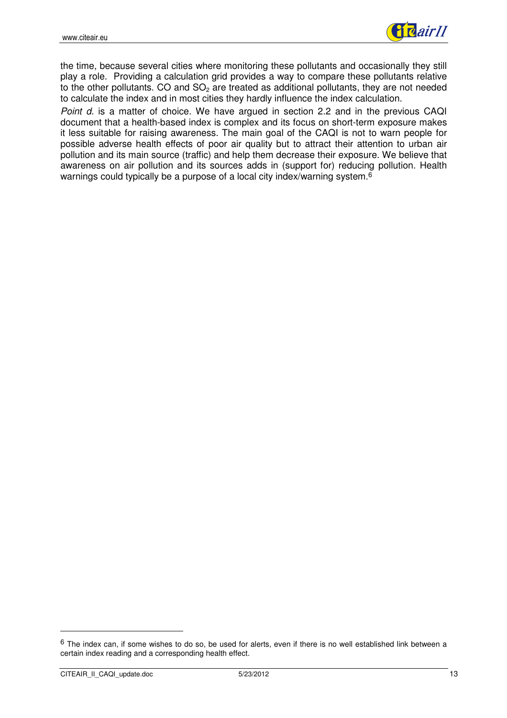

the time, because several cities where monitoring these pollutants and occasionally they still play a role. Providing a calculation grid provides a way to compare these pollutants relative to the other pollutants. CO and  $SO<sub>2</sub>$  are treated as additional pollutants, they are not needed to calculate the index and in most cities they hardly influence the index calculation.

Point d. is a matter of choice. We have argued in section 2.2 and in the previous CAQI document that a health-based index is complex and its focus on short-term exposure makes it less suitable for raising awareness. The main goal of the CAQI is not to warn people for possible adverse health effects of poor air quality but to attract their attention to urban air pollution and its main source (traffic) and help them decrease their exposure. We believe that awareness on air pollution and its sources adds in (support for) reducing pollution. Health warnings could typically be a purpose of a local city index/warning system.<sup>6</sup>

 $6$  The index can, if some wishes to do so, be used for alerts, even if there is no well established link between a certain index reading and a corresponding health effect.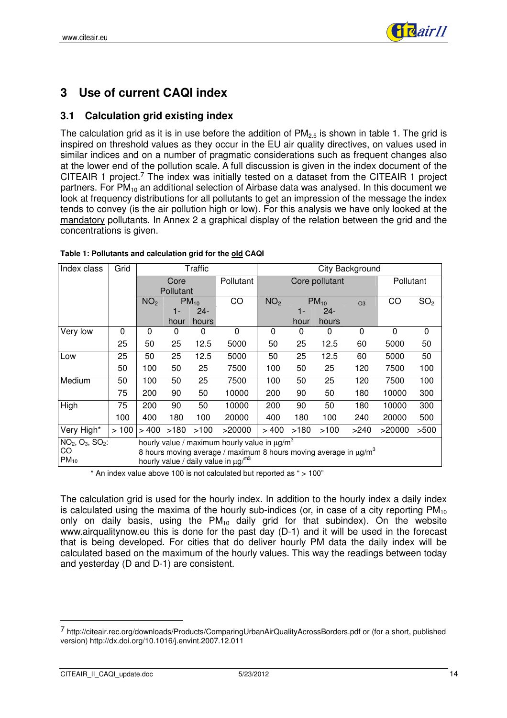

# **3 Use of current CAQI index**

### **3.1 Calculation grid existing index**

The calculation grid as it is in use before the addition of  $PM_{2.5}$  is shown in table 1. The grid is inspired on threshold values as they occur in the EU air quality directives, on values used in similar indices and on a number of pragmatic considerations such as frequent changes also at the lower end of the pollution scale. A full discussion is given in the index document of the CITEAIR 1 project.<sup>7</sup> The index was initially tested on a dataset from the CITEAIR 1 project partners. For  $PM_{10}$  an additional selection of Airbase data was analysed. In this document we look at frequency distributions for all pollutants to get an impression of the message the index tends to convey (is the air pollution high or low). For this analysis we have only looked at the mandatory pollutants. In Annex 2 a graphical display of the relation between the grid and the concentrations is given.

| Index class                                                                             | Grid<br>Traffic |                 |           |           |                                                               | City Background |      |                |                |           |                 |  |
|-----------------------------------------------------------------------------------------|-----------------|-----------------|-----------|-----------|---------------------------------------------------------------|-----------------|------|----------------|----------------|-----------|-----------------|--|
|                                                                                         |                 |                 | Core      |           | Pollutant                                                     |                 |      | Core pollutant |                | Pollutant |                 |  |
|                                                                                         |                 |                 | Pollutant |           |                                                               |                 |      |                |                |           |                 |  |
|                                                                                         |                 | NO <sub>2</sub> |           | $PM_{10}$ | CO                                                            | NO <sub>2</sub> |      | $PM_{10}$      | O <sub>3</sub> | CO        | SO <sub>2</sub> |  |
|                                                                                         |                 |                 | 1-        | $24 -$    |                                                               |                 | 1-   | $24-$          |                |           |                 |  |
|                                                                                         |                 |                 | hour      | hours     |                                                               |                 | hour | hours          |                |           |                 |  |
| Very low                                                                                | $\Omega$        | $\Omega$        | 0         | 0         | $\Omega$                                                      | $\mathbf{0}$    | 0    | 0              | $\Omega$       | $\Omega$  | $\Omega$        |  |
|                                                                                         | 25              | 50              | 25        | 12.5      | 5000                                                          | 50              | 25   | 12.5           | 60             | 5000      | 50              |  |
| Low                                                                                     | 25              | 50              | 25        | 12.5      | 5000                                                          | 50              | 25   | 12.5           | 60             | 5000      | 50              |  |
|                                                                                         | 50              | 100             | 50        | 25        | 7500                                                          | 100             | 50   | 25             | 120            | 7500      | 100             |  |
| Medium                                                                                  | 50              | 100             | 50        | 25        | 7500                                                          | 100             | 50   | 25             | 120            | 7500      | 100             |  |
|                                                                                         | 75              | 200             | 90        | 50        | 10000                                                         | 200             | 90   | 50             | 180            | 10000     | 300             |  |
| High                                                                                    | 75              | 200             | 90        | 50        | 10000                                                         | 200             | 90   | 50             | 180            | 10000     | 300             |  |
|                                                                                         | 100             | 400             | 180       | 100       | 20000                                                         | 400             | 180  | 100            | 240            | 20000     | 500             |  |
| Very High*                                                                              | >100            | >400            | >180      | >100      | >20000                                                        | >400            | >180 | >100           | >240           | >20000    | >500            |  |
| NO <sub>2</sub> , O <sub>3</sub> , SO <sub>2</sub> :                                    |                 |                 |           |           | hourly value / maximum hourly value in $\mu$ g/m <sup>3</sup> |                 |      |                |                |           |                 |  |
| CO<br>8 hours moving average / maximum 8 hours moving average in $\mu$ g/m <sup>3</sup> |                 |                 |           |           |                                                               |                 |      |                |                |           |                 |  |
| $PM_{10}$                                                                               |                 |                 |           |           | hourly value / daily value in $\mu$ g/m <sup>3</sup>          |                 |      |                |                |           |                 |  |

\* An index value above 100 is not calculated but reported as " > 100"

The calculation grid is used for the hourly index. In addition to the hourly index a daily index is calculated using the maxima of the hourly sub-indices (or, in case of a city reporting  $PM_{10}$ only on daily basis, using the  $PM_{10}$  daily grid for that subindex). On the website www.airqualitynow.eu this is done for the past day (D-1) and it will be used in the forecast that is being developed. For cities that do deliver hourly PM data the daily index will be calculated based on the maximum of the hourly values. This way the readings between today and yesterday (D and D-1) are consistent.

<sup>7</sup> http://citeair.rec.org/downloads/Products/ComparingUrbanAirQualityAcrossBorders.pdf or (for a short, published version) http://dx.doi.org/10.1016/j.envint.2007.12.011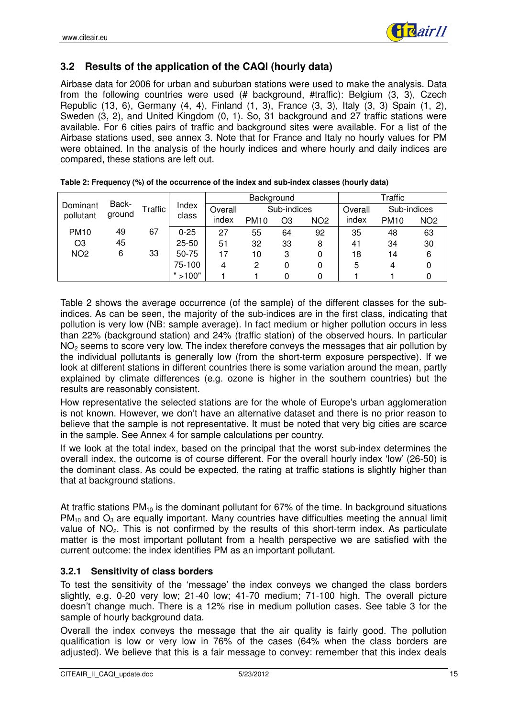

### **3.2 Results of the application of the CAQI (hourly data)**

Airbase data for 2006 for urban and suburban stations were used to make the analysis. Data from the following countries were used (# background, #traffic): Belgium (3, 3), Czech Republic (13, 6), Germany (4, 4), Finland (1, 3), France (3, 3), Italy (3, 3) Spain (1, 2), Sweden (3, 2), and United Kingdom (0, 1). So, 31 background and 27 traffic stations were available. For 6 cities pairs of traffic and background sites were available. For a list of the Airbase stations used, see annex 3. Note that for France and Italy no hourly values for PM were obtained. In the analysis of the hourly indices and where hourly and daily indices are compared, these stations are left out.

|                 |                 |         |           |         | Background  |             | Traffic         |         |             |                 |
|-----------------|-----------------|---------|-----------|---------|-------------|-------------|-----------------|---------|-------------|-----------------|
| Dominant        | Back-<br>ground | Traffic | Index     | Overall |             | Sub-indices |                 | Overall | Sub-indices |                 |
| pollutant       |                 |         | class     | index   | <b>PM10</b> | O3          | NO <sub>2</sub> | index   | <b>PM10</b> | NO <sub>2</sub> |
| <b>PM10</b>     | 49              | 67      | $0 - 25$  | 27      | 55          | 64          | 92              | 35      | 48          | 63              |
| O <sub>3</sub>  | 45              |         | $25 - 50$ | 51      | 32          | 33          | 8               | 41      | 34          | 30              |
| NO <sub>2</sub> | 6               | 33      | 50-75     | 17      | 10          | 3           | 0               | 18      | 14          | 6               |
|                 |                 |         | 75-100    | 4       | 2           |             | 0               | 5       | 4           |                 |
|                 |                 |         | " > 100"  |         |             |             | 0               |         |             |                 |

| Table 2: Frequency (%) of the occurrence of the index and sub-index classes (hourly data) |  |  |  |
|-------------------------------------------------------------------------------------------|--|--|--|
|-------------------------------------------------------------------------------------------|--|--|--|

Table 2 shows the average occurrence (of the sample) of the different classes for the subindices. As can be seen, the majority of the sub-indices are in the first class, indicating that pollution is very low (NB: sample average). In fact medium or higher pollution occurs in less than 22% (background station) and 24% (traffic station) of the observed hours. In particular NO<sub>2</sub> seems to score very low. The index therefore conveys the messages that air pollution by the individual pollutants is generally low (from the short-term exposure perspective). If we look at different stations in different countries there is some variation around the mean, partly explained by climate differences (e.g. ozone is higher in the southern countries) but the results are reasonably consistent.

How representative the selected stations are for the whole of Europe's urban agglomeration is not known. However, we don't have an alternative dataset and there is no prior reason to believe that the sample is not representative. It must be noted that very big cities are scarce in the sample. See Annex 4 for sample calculations per country.

If we look at the total index, based on the principal that the worst sub-index determines the overall index, the outcome is of course different. For the overall hourly index 'low' (26-50) is the dominant class. As could be expected, the rating at traffic stations is slightly higher than that at background stations.

At traffic stations  $PM_{10}$  is the dominant pollutant for 67% of the time. In background situations  $PM_{10}$  and  $O_3$  are equally important. Many countries have difficulties meeting the annual limit value of NO2. This is not confirmed by the results of this short-term index. As particulate matter is the most important pollutant from a health perspective we are satisfied with the current outcome: the index identifies PM as an important pollutant.

#### **3.2.1 Sensitivity of class borders**

To test the sensitivity of the 'message' the index conveys we changed the class borders slightly, e.g. 0-20 very low; 21-40 low; 41-70 medium; 71-100 high. The overall picture doesn't change much. There is a 12% rise in medium pollution cases. See table 3 for the sample of hourly background data.

Overall the index conveys the message that the air quality is fairly good. The pollution qualification is low or very low in 76% of the cases (64% when the class borders are adjusted). We believe that this is a fair message to convey: remember that this index deals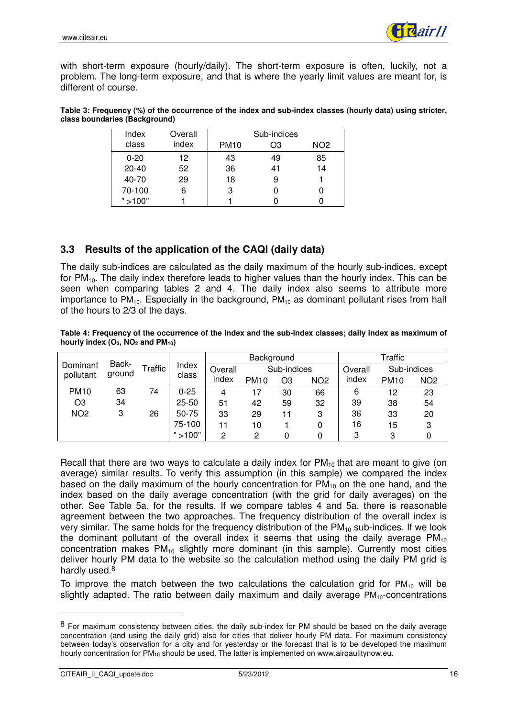

with short-term exposure (hourly/daily). The short-term exposure is often, luckily, not a problem. The long-term exposure, and that is where the yearly limit values are meant for, is different of course.

| Table 3: Frequency (%) of the occurrence of the index and sub-index classes (hourly data) using stricter, |  |
|-----------------------------------------------------------------------------------------------------------|--|
| class boundaries (Background)                                                                             |  |

| Index     | Overall |             | Sub-indices |                 |
|-----------|---------|-------------|-------------|-----------------|
| class     | index   | <b>PM10</b> | OЗ          | NO <sub>2</sub> |
| $0 - 20$  | 12.     | 43          | 49          | 85              |
| $20 - 40$ | 52      | 36          | 41          | 14              |
| 40-70     | 29      | 18          | 9           |                 |
| 70-100    | 6       | 3           |             |                 |
| " > 100"  |         |             |             |                 |

### **3.3 Results of the application of the CAQI (daily data)**

The daily sub-indices are calculated as the daily maximum of the hourly sub-indices, except for  $PM_{10}$ . The daily index therefore leads to higher values than the hourly index. This can be seen when comparing tables 2 and 4. The daily index also seems to attribute more importance to  $PM_{10}$ . Especially in the background,  $PM_{10}$  as dominant pollutant rises from half of the hours to 2/3 of the days.

#### **Table 4: Frequency of the occurrence of the index and the sub-index classes; daily index as maximum of** hourly index  $(O_3, NO_2$  and  $PM_{10}$

|                   |        |         |                |         | Background  |             |                 | Traffic |             |                 |  |
|-------------------|--------|---------|----------------|---------|-------------|-------------|-----------------|---------|-------------|-----------------|--|
| Back-<br>Dominant |        | Traffic | Index<br>class | Overall |             | Sub-indices |                 |         | Sub-indices |                 |  |
| pollutant         | ground |         |                | index   | <b>PM10</b> | OЗ          | NO <sub>2</sub> | index   | <b>PM10</b> | NO <sub>2</sub> |  |
| <b>PM10</b>       | 63     | 74      | $0 - 25$       | 4       | 17          | 30          | 66              | 6       | 12          | 23              |  |
| O <sub>3</sub>    | 34     |         | $25 - 50$      | 51      | 42          | 59          | 32              | 39      | 38          | 54              |  |
| NO <sub>2</sub>   | 3      | 26      | 50-75          | 33      | 29          | 11          | 3               | 36      | 33          | 20              |  |
|                   |        |         | 75-100         | 11      | 10          |             | 0               | 16      | 15          | 3               |  |
|                   |        |         | >100"          | 2       | 2           |             | 0               | 3       | 3           |                 |  |

Recall that there are two ways to calculate a daily index for  $PM_{10}$  that are meant to give (on average) similar results. To verify this assumption (in this sample) we compared the index based on the daily maximum of the hourly concentration for  $PM_{10}$  on the one hand, and the index based on the daily average concentration (with the grid for daily averages) on the other. See Table 5a. for the results. If we compare tables 4 and 5a, there is reasonable agreement between the two approaches. The frequency distribution of the overall index is very similar. The same holds for the frequency distribution of the  $PM_{10}$  sub-indices. If we look the dominant pollutant of the overall index it seems that using the daily average  $PM_{10}$ concentration makes  $PM_{10}$  slightly more dominant (in this sample). Currently most cities deliver hourly PM data to the website so the calculation method using the daily PM grid is hardly used.<sup>8</sup>

To improve the match between the two calculations the calculation grid for  $PM_{10}$  will be slightly adapted. The ratio between daily maximum and daily average  $PM_{10}$ -concentrations

<sup>8</sup> For maximum consistency between cities, the daily sub-index for PM should be based on the daily average concentration (and using the daily grid) also for cities that deliver hourly PM data. For maximum consistency between today's observation for a city and for yesterday or the forecast that is to be developed the maximum hourly concentration for PM<sub>10</sub> should be used. The latter is implemented on www.airqaulitynow.eu.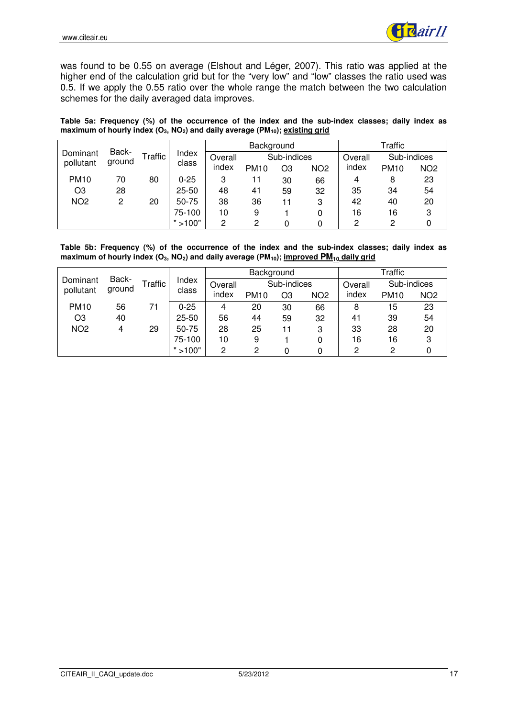

was found to be 0.55 on average (Elshout and Léger, 2007). This ratio was applied at the higher end of the calculation grid but for the "very low" and "low" classes the ratio used was 0.5. If we apply the 0.55 ratio over the whole range the match between the two calculation schemes for the daily averaged data improves.

**Table 5a: Frequency (%) of the occurrence of the index and the sub-index classes; daily index as maximum of hourly index (O3, NO2) and daily average (PM10); existing grid**

|                             |         |       |           |             | Background  |    |                 | Traffic     |             |                 |  |
|-----------------------------|---------|-------|-----------|-------------|-------------|----|-----------------|-------------|-------------|-----------------|--|
| Back-<br>Dominant<br>ground | Traffic | Index | Overall   | Sub-indices |             |    | Overall         | Sub-indices |             |                 |  |
| pollutant                   |         |       | class     | index       | <b>PM10</b> | O3 | NO <sub>2</sub> | index       | <b>PM10</b> | NO <sub>2</sub> |  |
| <b>PM10</b>                 | 70      | 80    | $0 - 25$  | 3           | 11          | 30 | 66              | 4           | 8           | 23              |  |
| O <sub>3</sub>              | 28      |       | $25 - 50$ | 48          | 41          | 59 | 32              | 35          | 34          | 54              |  |
| NO <sub>2</sub>             | 2       | 20    | 50-75     | 38          | 36          | 11 | 3               | 42          | 40          | 20              |  |
|                             |         |       | 75-100    | 10          | 9           |    | 0               | 16          | 16          | 3               |  |
|                             |         |       | >100"     | 2           | 2           |    |                 | 2           | 2           |                 |  |

**Table 5b: Frequency (%) of the occurrence of the index and the sub-index classes; daily index as maximum of hourly index (O3, NO2) and daily average (PM10); improved PM10 daily grid**

| Back-<br>Dominant |                |       |           |       | Background  |    |                 | Traffic     |             |                 |  |
|-------------------|----------------|-------|-----------|-------|-------------|----|-----------------|-------------|-------------|-----------------|--|
|                   | <b>Traffic</b> | Index | Overall   |       | Sub-indices |    | Overall         | Sub-indices |             |                 |  |
| pollutant         | ground         |       | class     | index | <b>PM10</b> | O3 | NO <sub>2</sub> | index       | <b>PM10</b> | NO <sub>2</sub> |  |
| <b>PM10</b>       | 56             | 71    | $0 - 25$  | 4     | 20          | 30 | 66              | 8           | 15          | 23              |  |
| O3                | 40             |       | $25 - 50$ | 56    | 44          | 59 | 32              | 41          | 39          | 54              |  |
| NO <sub>2</sub>   | 4              | 29    | 50-75     | 28    | 25          | 11 | 3               | 33          | 28          | 20              |  |
|                   |                |       | 75-100    | 10    | 9           |    | 0               | 16          | 16          | 3               |  |
|                   |                |       | >100"     | 2     | 2           |    |                 | 0           | 2           |                 |  |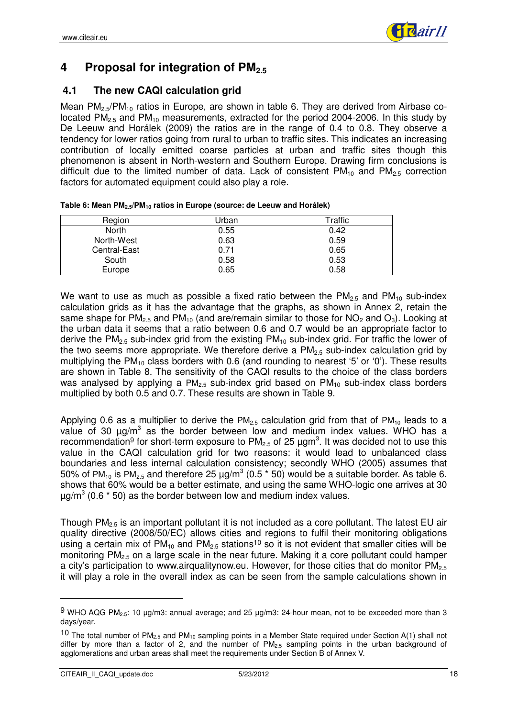

# **4 Proposal for integration of PM2.5**

### **4.1 The new CAQI calculation grid**

Mean  $PM_{2.5}/PM_{10}$  ratios in Europe, are shown in table 6. They are derived from Airbase colocated  $PM<sub>2.5</sub>$  and  $PM<sub>10</sub>$  measurements, extracted for the period 2004-2006. In this study by De Leeuw and Horálek (2009) the ratios are in the range of 0.4 to 0.8. They observe a tendency for lower ratios going from rural to urban to traffic sites. This indicates an increasing contribution of locally emitted coarse particles at urban and traffic sites though this phenomenon is absent in North-western and Southern Europe. Drawing firm conclusions is difficult due to the limited number of data. Lack of consistent  $PM_{10}$  and  $PM_{2.5}$  correction factors for automated equipment could also play a role.

| Region       | Urban | Traffic |
|--------------|-------|---------|
| <b>North</b> | 0.55  | 0.42    |
| North-West   | 0.63  | 0.59    |
| Central-East | 0.71  | 0.65    |
| South        | 0.58  | 0.53    |
| Europe       | 0.65  | 0.58    |

We want to use as much as possible a fixed ratio between the  $PM_{2.5}$  and  $PM_{10}$  sub-index calculation grids as it has the advantage that the graphs, as shown in Annex 2, retain the same shape for PM<sub>2.5</sub> and PM<sub>10</sub> (and are/remain similar to those for NO<sub>2</sub> and O<sub>3</sub>). Looking at the urban data it seems that a ratio between 0.6 and 0.7 would be an appropriate factor to derive the  $PM_{2.5}$  sub-index grid from the existing  $PM_{10}$  sub-index grid. For traffic the lower of the two seems more appropriate. We therefore derive a  $PM<sub>2.5</sub>$  sub-index calculation grid by multiplying the PM<sub>10</sub> class borders with 0.6 (and rounding to nearest '5' or '0'). These results are shown in Table 8. The sensitivity of the CAQI results to the choice of the class borders was analysed by applying a  $PM_{2.5}$  sub-index grid based on  $PM_{10}$  sub-index class borders multiplied by both 0.5 and 0.7. These results are shown in Table 9.

Applying 0.6 as a multiplier to derive the  $PM<sub>2.5</sub>$  calculation grid from that of  $PM<sub>10</sub>$  leads to a value of 30  $\mu$ g/m<sup>3</sup> as the border between low and medium index values. WHO has a recommendation<sup>9</sup> for short-term exposure to PM<sub>2.5</sub> of 25  $\mu$ gm<sup>3</sup>. It was decided not to use this value in the CAQI calculation grid for two reasons: it would lead to unbalanced class boundaries and less internal calculation consistency; secondly WHO (2005) assumes that 50% of PM<sub>10</sub> is PM<sub>2.5</sub> and therefore 25  $\mu$ g/m<sup>3</sup> (0.5  $^{\star}$  50) would be a suitable border. As table 6. shows that 60% would be a better estimate, and using the same WHO-logic one arrives at 30  $\mu$ g/m<sup>3</sup> (0.6  $^*$  50) as the border between low and medium index values.

Though  $PM<sub>2.5</sub>$  is an important pollutant it is not included as a core pollutant. The latest EU air quality directive (2008/50/EC) allows cities and regions to fulfil their monitoring obligations using a certain mix of  $PM_{10}$  and  $PM_{2.5}$  stations<sup>10</sup> so it is not evident that smaller cities will be monitoring PM<sub>2.5</sub> on a large scale in the near future. Making it a core pollutant could hamper a city's participation to www.airqualitynow.eu. However, for those cities that do monitor  $PM_{2.5}$ it will play a role in the overall index as can be seen from the sample calculations shown in

 $9$  WHO AQG PM<sub>2.5</sub>: 10 µg/m3: annual average; and 25 µg/m3: 24-hour mean, not to be exceeded more than 3 days/year.

<sup>10</sup> The total number of  $PM_{2.5}$  and  $PM_{10}$  sampling points in a Member State required under Section A(1) shall not differ by more than a factor of 2, and the number of  $PM_{2.5}$  sampling points in the urban background of agglomerations and urban areas shall meet the requirements under Section B of Annex V.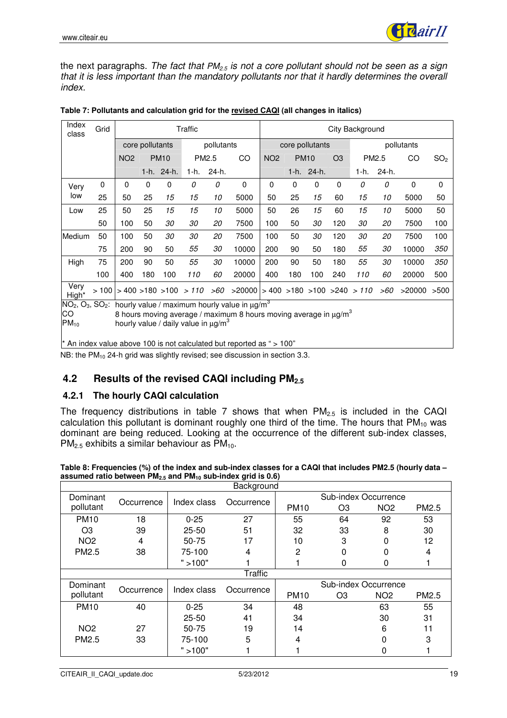

the next paragraphs. The fact that  $PM_{2.5}$  is not a core pollutant should not be seen as a sign that it is less important than the mandatory pollutants nor that it hardly determines the overall index.

| Index<br>class   | Grid |                 |                 |             | Traffic                                              |                   |                                                                                      |                 |                               |            |                | City Background |       |        |                 |
|------------------|------|-----------------|-----------------|-------------|------------------------------------------------------|-------------------|--------------------------------------------------------------------------------------|-----------------|-------------------------------|------------|----------------|-----------------|-------|--------|-----------------|
|                  |      |                 | core pollutants |             |                                                      | pollutants        |                                                                                      |                 | core pollutants<br>pollutants |            |                |                 |       |        |                 |
|                  |      | NO <sub>2</sub> |                 | <b>PM10</b> |                                                      | PM <sub>2.5</sub> | CO                                                                                   | NO <sub>2</sub> | <b>PM10</b>                   |            | O <sub>3</sub> | PM2.5           |       | CO     | SO <sub>2</sub> |
|                  |      |                 |                 | 1-h. 24-h.  |                                                      | 1-h. 24-h.        |                                                                                      |                 |                               | 1-h. 24-h. |                | 1-h.            | 24-h. |        |                 |
| Very             | 0    | 0               | 0               | 0           | 0                                                    | 0                 | 0                                                                                    | 0               | 0                             | 0          | 0              | 0               | 0     | 0      | 0               |
| low              | 25   | 50              | 25              | 15          | 15                                                   | 10                | 5000                                                                                 | 50              | 25                            | 15         | 60             | 15              | 10    | 5000   | 50              |
| Low              | 25   | 50              | 25              | 15          | 15                                                   | 10                | 5000                                                                                 | 50              | 26                            | 15         | 60             | 15              | 10    | 5000   | 50              |
|                  | 50   | 100             | 50              | 30          | 30                                                   | 20                | 7500                                                                                 | 100             | 50                            | 30         | 120            | 30              | 20    | 7500   | 100             |
| Medium           | 50   | 100             | 50              | 30          | 30                                                   | 20                | 7500                                                                                 | 100             | 50                            | 30         | 120            | 30              | 20    | 7500   | 100             |
|                  | 75   | 200             | 90              | 50          | 55                                                   | 30                | 10000                                                                                | 200             | 90                            | 50         | 180            | 55              | 30    | 10000  | 350             |
| High             | 75   | 200             | 90              | 50          | 55                                                   | 30                | 10000                                                                                | 200             | 90                            | 50         | 180            | 55              | 30    | 10000  | 350             |
|                  | 100  | 400             | 180             | 100         | 110                                                  | 60                | 20000                                                                                | 400             | 180                           | 100        | 240            | 110             | 60    | 20000  | 500             |
| Very<br>High*    |      |                 |                 |             |                                                      |                   | $>100$ $>400$ $>180$ $>100$ $>110$ $>60$ $>20000$ $>400$ $>180$ $>100$ $>240$ $>110$ |                 |                               |            |                |                 | >60   | >20000 | >500            |
| $NO2, O3, SO2$ : |      |                 |                 |             |                                                      |                   | hourly value / maximum hourly value in $\mu q/m^3$                                   |                 |                               |            |                |                 |       |        |                 |
| CO               |      |                 |                 |             |                                                      |                   | 8 hours moving average / maximum 8 hours moving average in $\mu$ g/m <sup>3</sup>    |                 |                               |            |                |                 |       |        |                 |
| $PM_{10}$        |      |                 |                 |             | hourly value / daily value in $\mu$ g/m <sup>3</sup> |                   |                                                                                      |                 |                               |            |                |                 |       |        |                 |
|                  |      |                 |                 |             |                                                      |                   | $*$ An index value above 100 is not calculated but reported as " $> 100$ "           |                 |                               |            |                |                 |       |        |                 |

| Table 7: Pollutants and calculation grid for the revised CAQI (all changes in italics) |  |
|----------------------------------------------------------------------------------------|--|
|----------------------------------------------------------------------------------------|--|

\* An index value above 100 is not calculated but reported as " > 100"

NB: the PM<sub>10</sub> 24-h grid was slightly revised; see discussion in section 3.3.

### **4.2 Results of the revised CAQI including PM2.5**

#### **4.2.1 The hourly CAQI calculation**

The frequency distributions in table 7 shows that when  $PM_{2.5}$  is included in the CAQI calculation this pollutant is dominant roughly one third of the time. The hours that  $PM_{10}$  was dominant are being reduced. Looking at the occurrence of the different sub-index classes,  $PM_{2.5}$  exhibits a similar behaviour as  $PM_{10}$ .

**Table 8: Frequencies (%) of the index and sub-index classes for a CAQI that includes PM2.5 (hourly data – assumed ratio between PM2.5 and PM10 sub-index grid is 0.6)**

| Background      |            |             |                |                      |                |                 |       |  |  |  |
|-----------------|------------|-------------|----------------|----------------------|----------------|-----------------|-------|--|--|--|
| Dominant        | Occurrence | Index class | Occurrence     | Sub-index Occurrence |                |                 |       |  |  |  |
| pollutant       |            |             |                | <b>PM10</b>          | O <sub>3</sub> | NO <sub>2</sub> | PM2.5 |  |  |  |
| <b>PM10</b>     | 18         | $0 - 25$    | 27             | 55                   | 64             | 92              | 53    |  |  |  |
| O <sub>3</sub>  | 39         | $25 - 50$   | 51             | 32                   | 33             | 8               | 30    |  |  |  |
| NO <sub>2</sub> | 4          | 50-75       | 17             | 10                   | 3              | 0               | 12    |  |  |  |
| PM2.5           | 38         | 75-100      | 4              | 2                    | 0              | 0               | 4     |  |  |  |
|                 |            | " > 100"    |                |                      | 0              | 0               |       |  |  |  |
|                 |            |             | <b>Traffic</b> |                      |                |                 |       |  |  |  |
| Dominant        | Occurrence | Index class | Occurrence     | Sub-index Occurrence |                |                 |       |  |  |  |
| pollutant       |            |             |                | <b>PM10</b>          | O <sub>3</sub> | NO <sub>2</sub> | PM2.5 |  |  |  |
| <b>PM10</b>     | 40         | $0 - 25$    | 34             | 48                   |                | 63              | 55    |  |  |  |
|                 |            | $25 - 50$   | 41             | 34                   |                | 30              | 31    |  |  |  |
| NO <sub>2</sub> | 27         | 50-75       | 19             | 14                   |                | 6               | 11    |  |  |  |
| PM2.5           | 33         | 75-100      | 5              | 4                    |                | 0               | 3     |  |  |  |
|                 |            | " > 100"    |                |                      |                |                 |       |  |  |  |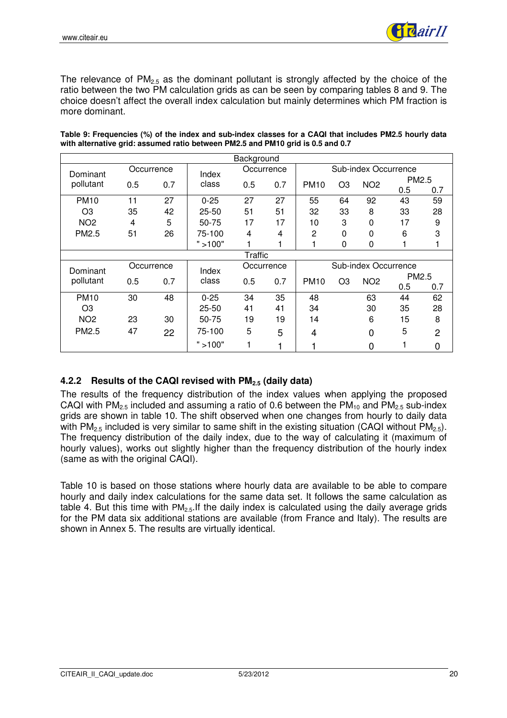

The relevance of  $PM<sub>2.5</sub>$  as the dominant pollutant is strongly affected by the choice of the ratio between the two PM calculation grids as can be seen by comparing tables 8 and 9. The choice doesn't affect the overall index calculation but mainly determines which PM fraction is more dominant.

|                 | Background |            |                |     |            |             |                      |                      |       |                   |  |  |
|-----------------|------------|------------|----------------|-----|------------|-------------|----------------------|----------------------|-------|-------------------|--|--|
| Dominant        |            | Occurrence |                |     | Occurrence |             |                      | Sub-index Occurrence |       |                   |  |  |
| pollutant       | 0.5        | 0.7        | Index<br>class | 0.5 | 0.7        | <b>PM10</b> | O <sub>3</sub>       | NO <sub>2</sub>      | PM2.5 |                   |  |  |
|                 |            |            |                |     |            |             |                      |                      | 0.5   | 0.7               |  |  |
| <b>PM10</b>     | 11         | 27         | $0 - 25$       | 27  | 27         | 55          | 64                   | 92                   | 43    | 59                |  |  |
| O <sub>3</sub>  | 35         | 42         | 25-50          | 51  | 51         | 32          | 33                   | 8                    | 33    | 28                |  |  |
| NO <sub>2</sub> | 4          | 5          | 50-75          | 17  | 17         | 10          | 3                    | 0                    | 17    | 9                 |  |  |
| PM2.5           | 51         | 26         | 75-100         | 4   | 4          | 2           | $\Omega$             | 0                    | 6     | 3                 |  |  |
|                 |            |            | ">100"         |     | 1          |             | 0                    | 0                    |       |                   |  |  |
|                 | Traffic    |            |                |     |            |             |                      |                      |       |                   |  |  |
| Dominant        |            | Occurrence | Index          |     | Occurrence |             | Sub-index Occurrence |                      |       |                   |  |  |
| pollutant       | 0.5        | 0.7        | class          | 0.5 | 0.7        | <b>PM10</b> | O <sub>3</sub>       | NO <sub>2</sub>      |       | PM <sub>2.5</sub> |  |  |
|                 |            |            |                |     |            |             |                      |                      | 0.5   | 0.7               |  |  |
| <b>PM10</b>     | 30         | 48         | $0 - 25$       | 34  | 35         | 48          |                      | 63                   | 44    | 62                |  |  |
| O <sub>3</sub>  |            |            | 25-50          | 41  | 41         | 34          |                      | 30                   | 35    | 28                |  |  |
| NO <sub>2</sub> | 23         | 30         | 50-75          | 19  | 19         | 14          |                      | 6                    | 15    | 8                 |  |  |
| PM2.5           | 47         | 22         | 75-100         | 5   | 5          | 4           |                      | 0                    | 5     | $\overline{2}$    |  |  |
|                 |            |            | "<br>>100"     | 1   |            |             |                      | 0                    |       | 0                 |  |  |

**Table 9: Frequencies (%) of the index and sub-index classes for a CAQI that includes PM2.5 hourly data with alternative grid: assumed ratio between PM2.5 and PM10 grid is 0.5 and 0.7**

### **4.2.2 Results of the CAQI revised with PM2.5 (daily data)**

The results of the frequency distribution of the index values when applying the proposed CAQI with  $PM_{2.5}$  included and assuming a ratio of 0.6 between the  $PM_{10}$  and  $PM_{2.5}$  sub-index grids are shown in table 10. The shift observed when one changes from hourly to daily data with PM<sub>2.5</sub> included is very similar to same shift in the existing situation (CAQI without PM<sub>2.5</sub>). The frequency distribution of the daily index, due to the way of calculating it (maximum of hourly values), works out slightly higher than the frequency distribution of the hourly index (same as with the original CAQI).

Table 10 is based on those stations where hourly data are available to be able to compare hourly and daily index calculations for the same data set. It follows the same calculation as table 4. But this time with  $PM<sub>2.5</sub>$ . If the daily index is calculated using the daily average grids for the PM data six additional stations are available (from France and Italy). The results are shown in Annex 5. The results are virtually identical.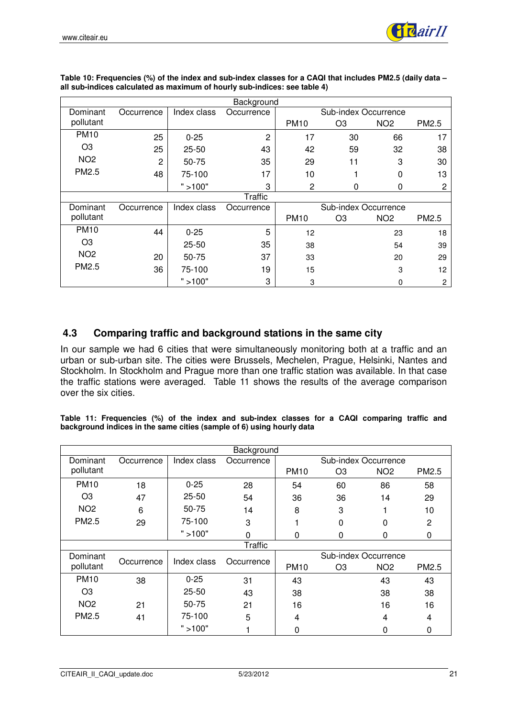|                 |                |             | Background     |             |                      |                 |       |
|-----------------|----------------|-------------|----------------|-------------|----------------------|-----------------|-------|
| Dominant        | Occurrence     | Index class | Occurrence     |             | Sub-index Occurrence |                 |       |
| pollutant       |                |             |                | <b>PM10</b> | O <sub>3</sub>       | NO <sub>2</sub> | PM2.5 |
| <b>PM10</b>     | 25             | $0 - 25$    | $\overline{c}$ | 17          | 30                   | 66              | 17    |
| O <sub>3</sub>  | 25             | $25 - 50$   | 43             | 42          | 59                   | 32              | 38    |
| NO <sub>2</sub> | $\overline{2}$ | 50-75       | 35             | 29          | 11                   | 3               | 30    |
| PM2.5           | 48             | 75-100      | 17             | 10          | 1                    | 0               | 13    |
|                 |                | " > 100"    | 3              | 2           | 0                    | 0               | 2     |
|                 |                |             | <b>Traffic</b> |             |                      |                 |       |
| Dominant        | Occurrence     | Index class | Occurrence     |             | Sub-index Occurrence |                 |       |
| pollutant       |                |             |                | <b>PM10</b> | O <sub>3</sub>       | NO <sub>2</sub> | PM2.5 |
| <b>PM10</b>     | 44             | $0 - 25$    | 5              | 12          |                      | 23              | 18    |
| O <sub>3</sub>  |                | $25 - 50$   | 35             | 38          |                      | 54              | 39    |
| NO <sub>2</sub> | 20             | 50-75       | 37             | 33          |                      | 20              | 29    |
| PM2.5           | 36             | 75-100      | 19             | 15          |                      | 3               | 12    |
|                 |                | " > 100"    | 3              | 3           |                      | 0               | 2     |

**Table 10: Frequencies (%) of the index and sub-index classes for a CAQI that includes PM2.5 (daily data – all sub-indices calculated as maximum of hourly sub-indices: see table 4)**

### **4.3 Comparing traffic and background stations in the same city**

In our sample we had 6 cities that were simultaneously monitoring both at a traffic and an urban or sub-urban site. The cities were Brussels, Mechelen, Prague, Helsinki, Nantes and Stockholm. In Stockholm and Prague more than one traffic station was available. In that case the traffic stations were averaged. Table 11 shows the results of the average comparison over the six cities.

**Table 11: Frequencies (%) of the index and sub-index classes for a CAQI comparing traffic and background indices in the same cities (sample of 6) using hourly data**

| Background        |            |             |                |                      |                |                      |              |  |
|-------------------|------------|-------------|----------------|----------------------|----------------|----------------------|--------------|--|
| Dominant          | Occurrence | Index class | Occurrence     |                      |                | Sub-index Occurrence |              |  |
| pollutant         |            |             |                | <b>PM10</b>          | O <sub>3</sub> | NO <sub>2</sub>      | PM2.5        |  |
| <b>PM10</b>       | 18         | $0 - 25$    | 28             | 54                   | 60             | 86                   | 58           |  |
| O <sub>3</sub>    | 47         | $25 - 50$   | 54             | 36                   | 36             | 14                   | 29           |  |
| NO <sub>2</sub>   | 6          | 50-75       | 14             | 8                    | 3              |                      | 10           |  |
| PM <sub>2.5</sub> | 29         | 75-100      | 3              |                      | $\Omega$       | 0                    | $\mathbf{2}$ |  |
|                   |            | " > 100"    | $\Omega$       | 0                    | 0              | 0                    | 0            |  |
|                   |            |             | <b>Traffic</b> |                      |                |                      |              |  |
| Dominant          | Occurrence | Index class |                | Sub-index Occurrence |                |                      |              |  |
| pollutant         |            |             | Occurrence     | <b>PM10</b>          | O <sub>3</sub> | NO <sub>2</sub>      | PM2.5        |  |
| <b>PM10</b>       | 38         | $0 - 25$    | 31             | 43                   |                | 43                   | 43           |  |
| O <sub>3</sub>    |            | $25 - 50$   | 43             | 38                   |                | 38                   | 38           |  |
| NO <sub>2</sub>   | 21         | 50-75       | 21             | 16                   |                | 16                   | 16           |  |
| PM2.5             | 41         | 75-100      | 5              | 4                    |                | 4                    | 4            |  |
|                   |            | " > 100"    |                | 0                    |                | 0                    | 0            |  |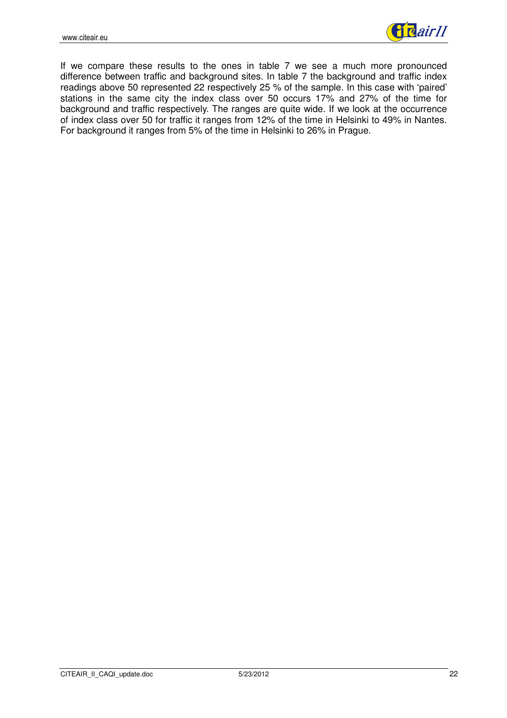

If we compare these results to the ones in table 7 we see a much more pronounced difference between traffic and background sites. In table 7 the background and traffic index readings above 50 represented 22 respectively 25 % of the sample. In this case with 'paired' stations in the same city the index class over 50 occurs 17% and 27% of the time for background and traffic respectively. The ranges are quite wide. If we look at the occurrence of index class over 50 for traffic it ranges from 12% of the time in Helsinki to 49% in Nantes. For background it ranges from 5% of the time in Helsinki to 26% in Prague.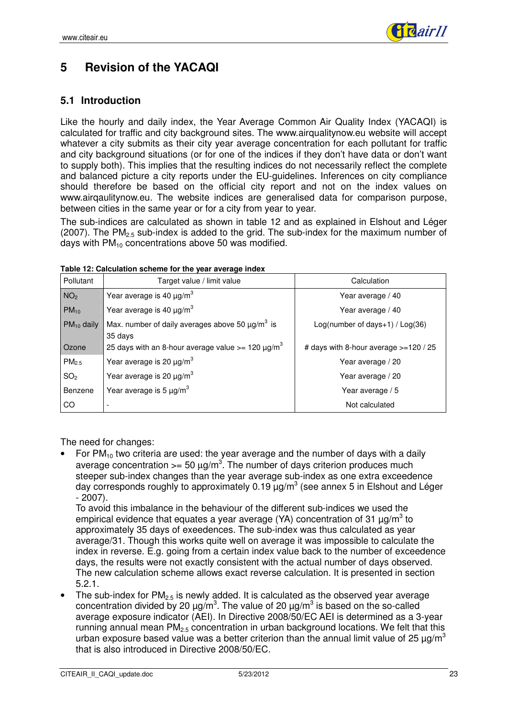

# **5 Revision of the YACAQI**

### **5.1 Introduction**

Like the hourly and daily index, the Year Average Common Air Quality Index (YACAQI) is calculated for traffic and city background sites. The www.airqualitynow.eu website will accept whatever a city submits as their city year average concentration for each pollutant for traffic and city background situations (or for one of the indices if they don't have data or don't want to supply both). This implies that the resulting indices do not necessarily reflect the complete and balanced picture a city reports under the EU-guidelines. Inferences on city compliance should therefore be based on the official city report and not on the index values on www.airqaulitynow.eu. The website indices are generalised data for comparison purpose, between cities in the same year or for a city from year to year.

The sub-indices are calculated as shown in table 12 and as explained in Elshout and Léger (2007). The  $PM<sub>2.5</sub>$  sub-index is added to the grid. The sub-index for the maximum number of days with  $PM_{10}$  concentrations above 50 was modified.

| Pollutant         | Target value / limit value                                                  | Calculation                               |  |  |  |
|-------------------|-----------------------------------------------------------------------------|-------------------------------------------|--|--|--|
| NO <sub>2</sub>   | Year average is 40 $\mu$ g/m <sup>3</sup>                                   | Year average / 40                         |  |  |  |
| $PM_{10}$         | Year average is 40 $\mu$ g/m <sup>3</sup>                                   | Year average / 40                         |  |  |  |
| $PM_{10}$ daily   | Max. number of daily averages above 50 $\mu$ g/m <sup>3</sup> is<br>35 days | $Log(number of days+1) / Log(36)$         |  |  |  |
| Ozone             | 25 days with an 8-hour average value $>= 120 \mu g/m^3$                     | # days with 8-hour average $> = 120 / 25$ |  |  |  |
| PM <sub>2.5</sub> | Year average is 20 $\mu$ g/m <sup>3</sup>                                   | Year average / 20                         |  |  |  |
| SO <sub>2</sub>   | Year average is 20 $\mu$ g/m <sup>3</sup>                                   | Year average / 20                         |  |  |  |
| Benzene           | Year average is 5 $\mu$ g/m <sup>3</sup>                                    | Year average / 5                          |  |  |  |
| CO.               |                                                                             | Not calculated                            |  |  |  |

**Table 12: Calculation scheme for the year average index** 

The need for changes:

For  $PM_{10}$  two criteria are used: the year average and the number of days with a daily average concentration  $>= 50 \text{ }\mu\text{g/m}^3$ . The number of days criterion produces much steeper sub-index changes than the year average sub-index as one extra exceedence day corresponds roughly to approximately 0.19  $\mu$ g/m<sup>3</sup> (see annex 5 in Elshout and Léger - 2007).

To avoid this imbalance in the behaviour of the different sub-indices we used the empirical evidence that equates a year average (YA) concentration of 31  $\mu$ g/m<sup>3</sup> to approximately 35 days of exeedences. The sub-index was thus calculated as year average/31. Though this works quite well on average it was impossible to calculate the index in reverse. E.g. going from a certain index value back to the number of exceedence days, the results were not exactly consistent with the actual number of days observed. The new calculation scheme allows exact reverse calculation. It is presented in section 5.2.1.

The sub-index for  $PM_{2.5}$  is newly added. It is calculated as the observed year average concentration divided by 20  $\mu$ g/m<sup>3</sup>. The value of 20  $\mu$ g/m<sup>3</sup> is based on the so-called average exposure indicator (AEI). In Directive 2008/50/EC AEI is determined as a 3-year running annual mean  $PM<sub>2.5</sub>$  concentration in urban background locations. We felt that this urban exposure based value was a better criterion than the annual limit value of 25  $\mu$ g/m<sup>3</sup> that is also introduced in Directive 2008/50/EC.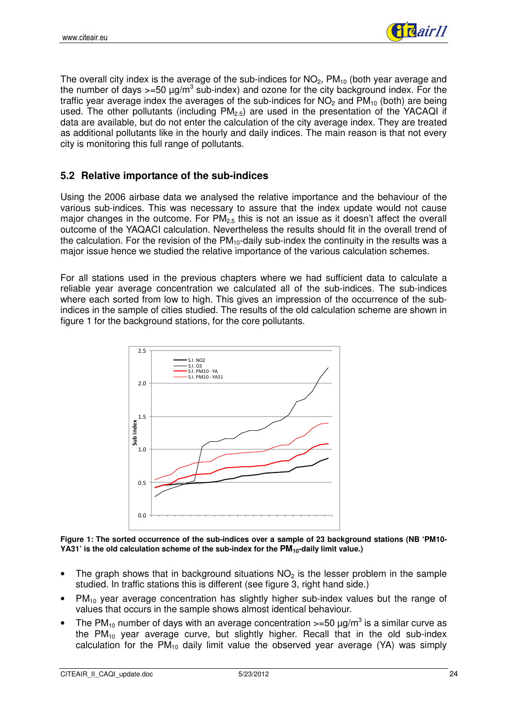

The overall city index is the average of the sub-indices for  $NO<sub>2</sub>$ ,  $PM<sub>10</sub>$  (both year average and the number of days >=50  $\mu$ g/m<sup>3</sup> sub-index) and ozone for the city background index. For the traffic year average index the averages of the sub-indices for  $NO<sub>2</sub>$  and  $PM<sub>10</sub>$  (both) are being used. The other pollutants (including  $PM_{2.5}$ ) are used in the presentation of the YACAQI if data are available, but do not enter the calculation of the city average index. They are treated as additional pollutants like in the hourly and daily indices. The main reason is that not every city is monitoring this full range of pollutants.

### **5.2 Relative importance of the sub-indices**

Using the 2006 airbase data we analysed the relative importance and the behaviour of the various sub-indices. This was necessary to assure that the index update would not cause major changes in the outcome. For  $PM_{2.5}$  this is not an issue as it doesn't affect the overall outcome of the YAQACI calculation. Nevertheless the results should fit in the overall trend of the calculation. For the revision of the  $PM_{10}$ -daily sub-index the continuity in the results was a major issue hence we studied the relative importance of the various calculation schemes.

For all stations used in the previous chapters where we had sufficient data to calculate a reliable year average concentration we calculated all of the sub-indices. The sub-indices where each sorted from low to high. This gives an impression of the occurrence of the subindices in the sample of cities studied. The results of the old calculation scheme are shown in figure 1 for the background stations, for the core pollutants.



**Figure 1: The sorted occurrence of the sub-indices over a sample of 23 background stations (NB 'PM10- YA31' is the old calculation scheme of the sub-index for the PM10-daily limit value.)** 

- The graph shows that in background situations  $NO<sub>2</sub>$  is the lesser problem in the sample studied. In traffic stations this is different (see figure 3, right hand side.)
- $PM_{10}$  year average concentration has slightly higher sub-index values but the range of values that occurs in the sample shows almost identical behaviour.
- The PM<sub>10</sub> number of days with an average concentration >=50  $\mu$ g/m<sup>3</sup> is a similar curve as the  $PM_{10}$  year average curve, but slightly higher. Recall that in the old sub-index calculation for the  $PM_{10}$  daily limit value the observed year average (YA) was simply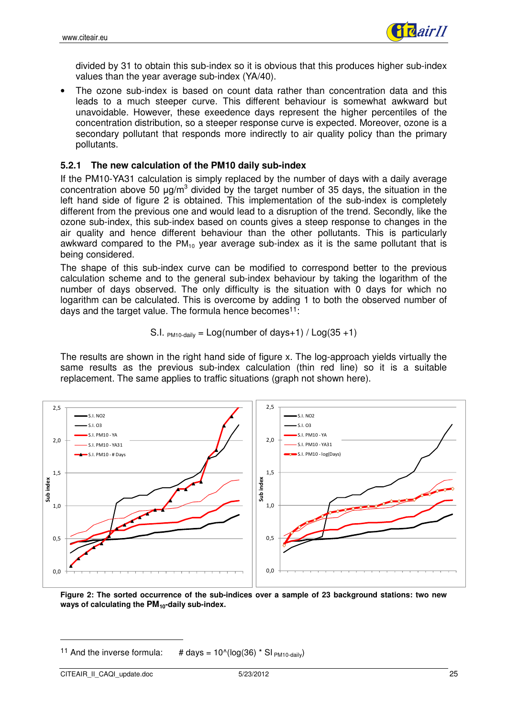

divided by 31 to obtain this sub-index so it is obvious that this produces higher sub-index values than the year average sub-index (YA/40).

• The ozone sub-index is based on count data rather than concentration data and this leads to a much steeper curve. This different behaviour is somewhat awkward but unavoidable. However, these exeedence days represent the higher percentiles of the concentration distribution, so a steeper response curve is expected. Moreover, ozone is a secondary pollutant that responds more indirectly to air quality policy than the primary pollutants.

#### **5.2.1 The new calculation of the PM10 daily sub-index**

If the PM10-YA31 calculation is simply replaced by the number of days with a daily average concentration above 50  $\mu$ g/m<sup>3</sup> divided by the target number of 35 days, the situation in the left hand side of figure 2 is obtained. This implementation of the sub-index is completely different from the previous one and would lead to a disruption of the trend. Secondly, like the ozone sub-index, this sub-index based on counts gives a steep response to changes in the air quality and hence different behaviour than the other pollutants. This is particularly awkward compared to the  $PM_{10}$  year average sub-index as it is the same pollutant that is being considered.

The shape of this sub-index curve can be modified to correspond better to the previous calculation scheme and to the general sub-index behaviour by taking the logarithm of the number of days observed. The only difficulty is the situation with 0 days for which no logarithm can be calculated. This is overcome by adding 1 to both the observed number of days and the target value. The formula hence becomes<sup>11</sup>:

S.I. 
$$
PM10\text{-daily} = Log(number of days+1) / Log(35+1)
$$

The results are shown in the right hand side of figure x. The log-approach yields virtually the same results as the previous sub-index calculation (thin red line) so it is a suitable replacement. The same applies to traffic situations (graph not shown here).



**Figure 2: The sorted occurrence of the sub-indices over a sample of 23 background stations: two new ways of calculating the PM10-daily sub-index.** 

<sup>&</sup>lt;sup>11</sup> And the inverse formula: # days =  $10^{\circ}$ (log(36) \* SI  $_{PM10\text{-}\text{dailv}}$ )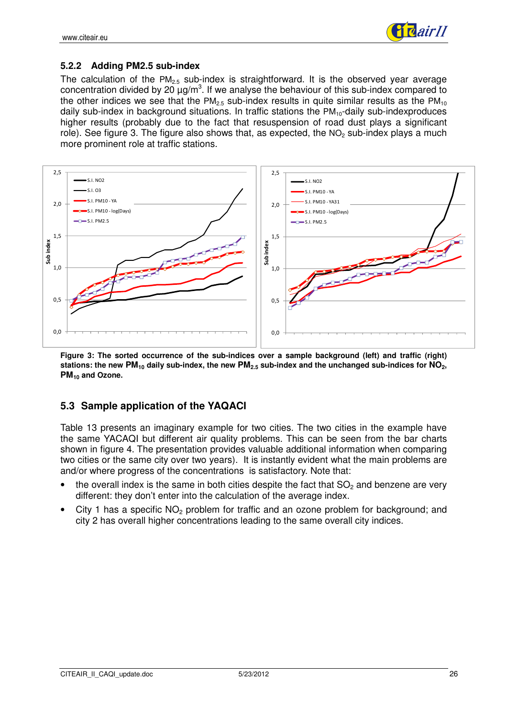

#### **5.2.2 Adding PM2.5 sub-index**

The calculation of the  $PM_{2.5}$  sub-index is straightforward. It is the observed year average concentration divided by 20  $\mu$ g/m<sup>3</sup>. If we analyse the behaviour of this sub-index compared to the other indices we see that the PM<sub>2.5</sub> sub-index results in quite similar results as the PM<sub>10</sub> daily sub-index in background situations. In traffic stations the  $PM_{10}$ -daily sub-indexproduces higher results (probably due to the fact that resuspension of road dust plays a significant role). See figure 3. The figure also shows that, as expected, the  $NO<sub>2</sub>$  sub-index plays a much more prominent role at traffic stations.



**Figure 3: The sorted occurrence of the sub-indices over a sample background (left) and traffic (right) stations: the new PM10 daily sub-index, the new PM2.5 sub-index and the unchanged sub-indices for NO2, PM10 and Ozone.**

### **5.3 Sample application of the YAQACI**

Table 13 presents an imaginary example for two cities. The two cities in the example have the same YACAQI but different air quality problems. This can be seen from the bar charts shown in figure 4. The presentation provides valuable additional information when comparing two cities or the same city over two years). It is instantly evident what the main problems are and/or where progress of the concentrations is satisfactory. Note that:

- the overall index is the same in both cities despite the fact that  $SO<sub>2</sub>$  and benzene are very different: they don't enter into the calculation of the average index.
- City 1 has a specific  $NO<sub>2</sub>$  problem for traffic and an ozone problem for background; and city 2 has overall higher concentrations leading to the same overall city indices.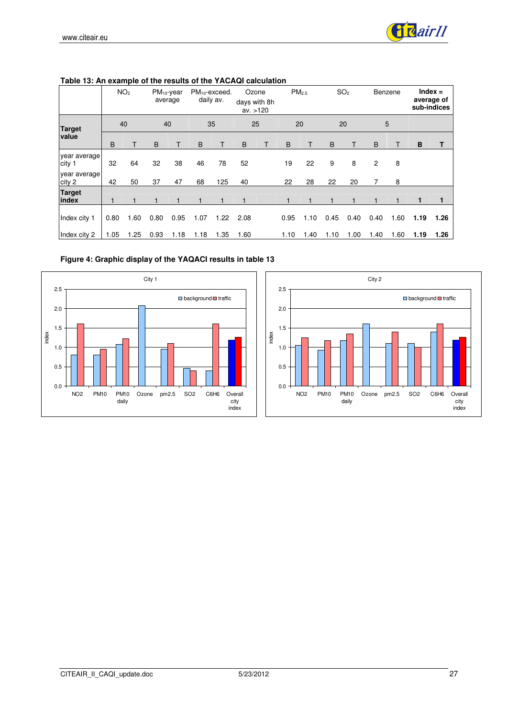

|                        |      | NO <sub>2</sub> | $PM_{10}$ -year | average |      | $PM_{10}$ -exceed.<br>daily av. |      | Ozone<br>days with 8h<br>av. > 120 |      | PM <sub>2.5</sub> |      | SO <sub>2</sub> |      | Benzene |      | $Index =$<br>average of<br>sub-indices |
|------------------------|------|-----------------|-----------------|---------|------|---------------------------------|------|------------------------------------|------|-------------------|------|-----------------|------|---------|------|----------------------------------------|
| <b>Target</b>          |      | 40              |                 | 40      |      | 35                              |      | 25                                 |      | 20                |      | 20              |      | 5       |      |                                        |
| value                  | B    | Т               | B               |         | B    |                                 | B    | Т                                  | B    | Τ                 | B    | T               | B    | Τ       | B    | Т                                      |
| year average<br>city 1 | 32   | 64              | 32              | 38      | 46   | 78                              | 52   |                                    | 19   | 22                | 9    | 8               | 2    | 8       |      |                                        |
| year average<br>city 2 | 42   | 50              | 37              | 47      | 68   | 125                             | 40   |                                    | 22   | 28                | 22   | 20              | 7    | 8       |      |                                        |
| <b>Target</b><br>index |      | 1               |                 |         |      | 1                               | 1    |                                    |      |                   |      |                 |      |         | 1    |                                        |
| Index city 1           | 0.80 | 1.60            | 0.80            | 0.95    | 1.07 | 1.22                            | 2.08 |                                    | 0.95 | 1.10              | 0.45 | 0.40            | 0.40 | 1.60    | 1.19 | 1.26                                   |
| Index city 2           | 1.05 | 1.25            | 0.93            | 1.18    | 1.18 | 1.35                            | 1.60 |                                    | 1.10 | 1.40              | 1.10 | 1.00            | 1.40 | 1.60    | 1.19 | 1.26                                   |

**Table 13: An example of the results of the YACAQI calculation** 

**Figure 4: Graphic display of the YAQACI results in table 13** 



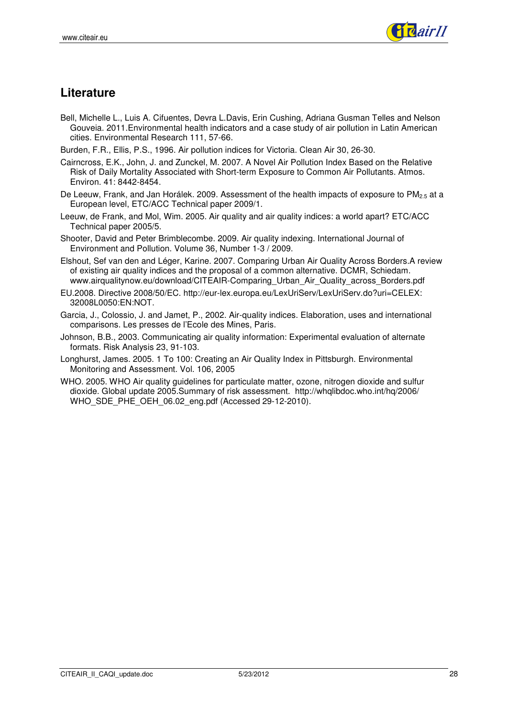

# **Literature**

- Bell, Michelle L., Luis A. Cifuentes, Devra L.Davis, Erin Cushing, Adriana Gusman Telles and Nelson Gouveia. 2011.Environmental health indicators and a case study of air pollution in Latin American cities. Environmental Research 111, 57-66.
- Burden, F.R., Ellis, P.S., 1996. Air pollution indices for Victoria. Clean Air 30, 26-30.
- Cairncross, E.K., John, J. and Zunckel, M. 2007. A Novel Air Pollution Index Based on the Relative Risk of Daily Mortality Associated with Short-term Exposure to Common Air Pollutants. Atmos. Environ. 41: 8442-8454.
- De Leeuw, Frank, and Jan Horálek. 2009. Assessment of the health impacts of exposure to PM<sub>2.5</sub> at a European level, ETC/ACC Technical paper 2009/1.
- Leeuw, de Frank, and Mol, Wim. 2005. Air quality and air quality indices: a world apart? ETC/ACC Technical paper 2005/5.
- Shooter, David and Peter Brimblecombe. 2009. Air quality indexing. International Journal of Environment and Pollution. Volume 36, Number 1-3 / 2009.
- Elshout, Sef van den and Léger, Karine. 2007. Comparing Urban Air Quality Across Borders.A review of existing air quality indices and the proposal of a common alternative. DCMR, Schiedam. www.airqualitynow.eu/download/CITEAIR-Comparing\_Urban\_Air\_Quality\_across\_Borders.pdf
- EU.2008. Directive 2008/50/EC. http://eur-lex.europa.eu/LexUriServ/LexUriServ.do?uri=CELEX: 32008L0050:EN:NOT.
- Garcia, J., Colossio, J. and Jamet, P., 2002. Air-quality indices. Elaboration, uses and international comparisons. Les presses de l'Ecole des Mines, Paris.
- Johnson, B.B., 2003. Communicating air quality information: Experimental evaluation of alternate formats. Risk Analysis 23, 91-103.
- Longhurst, James. 2005. 1 To 100: Creating an Air Quality Index in Pittsburgh. Environmental Monitoring and Assessment. Vol. 106, 2005
- WHO. 2005. WHO Air quality guidelines for particulate matter, ozone, nitrogen dioxide and sulfur dioxide. Global update 2005.Summary of risk assessment. http://whqlibdoc.who.int/hq/2006/ WHO\_SDE\_PHE\_OEH\_06.02\_eng.pdf (Accessed 29-12-2010).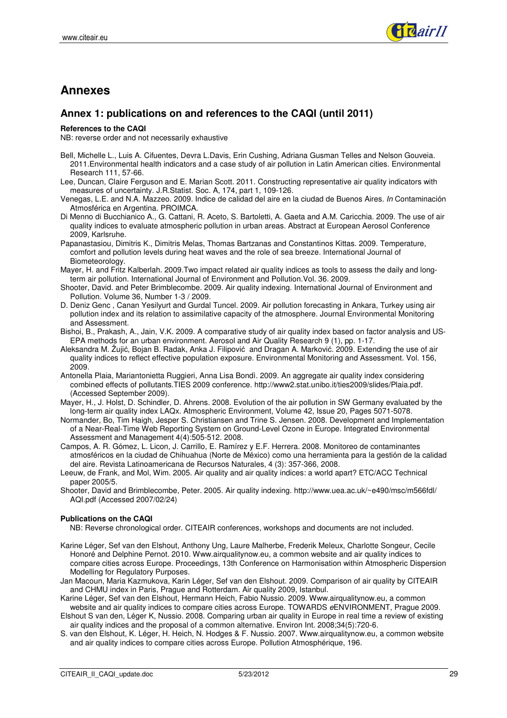

# **Annexes**

#### **Annex 1: publications on and references to the CAQI (until 2011)**

#### **References to the CAQI**

NB: reverse order and not necessarily exhaustive

- Bell, Michelle L., Luis A. Cifuentes, Devra L.Davis, Erin Cushing, Adriana Gusman Telles and Nelson Gouveia. 2011.Environmental health indicators and a case study of air pollution in Latin American cities. Environmental Research 111, 57-66.
- Lee, Duncan, Claire Ferguson and E. Marian Scott. 2011. Constructing representative air quality indicators with measures of uncertainty. J.R.Statist. Soc. A, 174, part 1, 109-126.
- Venegas, L.E. and N.A. Mazzeo. 2009. Indice de calidad del aire en la ciudad de Buenos Aires. In Contaminación Atmosférica en Argentina. PROIMCA.
- Di Menno di Bucchianico A., G. Cattani, R. Aceto, S. Bartoletti, A. Gaeta and A.M. Caricchia. 2009. The use of air quality indices to evaluate atmospheric pollution in urban areas. Abstract at European Aerosol Conference 2009, Karlsruhe.
- Papanastasiou, Dimitris K., Dimitris Melas, Thomas Bartzanas and Constantinos Kittas. 2009. Temperature, comfort and pollution levels during heat waves and the role of sea breeze. International Journal of Biometeorology.
- Mayer, H. and Fritz Kalberlah. 2009.Two impact related air quality indices as tools to assess the daily and longterm air pollution. International Journal of Environment and Pollution.Vol. 36. 2009.
- Shooter, David. and Peter Brimblecombe. 2009. Air quality indexing. International Journal of Environment and Pollution. Volume 36, Number 1-3 / 2009.
- D. Deniz Genc , Canan Yesilyurt and Gurdal Tuncel. 2009. Air pollution forecasting in Ankara, Turkey using air pollution index and its relation to assimilative capacity of the atmosphere. Journal Environmental Monitoring and Assessment.
- Bishoi, B., Prakash, A., Jain, V.K. 2009. A comparative study of air quality index based on factor analysis and US-EPA methods for an urban environment. Aerosol and Air Quality Research 9 (1), pp. 1-17.
- Aleksandra M. Žujić, Bojan B. Radak, Anka J. Filipović and Dragan A. Marković. 2009. Extending the use of air quality indices to reflect effective population exposure. Environmental Monitoring and Assessment. Vol. 156, 2009.
- Antonella Plaia, Mariantonietta Ruggieri, Anna Lisa Bondì. 2009. An aggregate air quality index considering combined effects of pollutants.TIES 2009 conference. http://www2.stat.unibo.it/ties2009/slides/Plaia.pdf. (Accessed September 2009).
- Mayer, H., J. Holst, D. Schindler, D. Ahrens. 2008. Evolution of the air pollution in SW Germany evaluated by the long-term air quality index LAQx. Atmospheric Environment, Volume 42, Issue 20, Pages 5071-5078.
- Normander, Bo, Tim Haigh, Jesper S. Christiansen and Trine S. Jensen. 2008. Development and Implementation of a Near-Real-Time Web Reporting System on Ground-Level Ozone in Europe. Integrated Environmental Assessment and Management 4(4):505-512. 2008.
- Campos, A. R. Gómez, L. Licon, J. Carrillo, E. Ramírez y E.F. Herrera. 2008. Monitoreo de contaminantes atmosféricos en la ciudad de Chihuahua (Norte de México) como una herramienta para la gestión de la calidad del aire. Revista Latinoamericana de Recursos Naturales, 4 (3): 357-366, 2008.
- Leeuw, de Frank, and Mol, Wim. 2005. Air quality and air quality indices: a world apart? ETC/ACC Technical paper 2005/5.
- Shooter, David and Brimblecombe, Peter. 2005. Air quality indexing. http://www.uea.ac.uk/~e490/msc/m566fdl/ AQI.pdf (Accessed 2007/02/24)

#### **Publications on the CAQI**

NB: Reverse chronological order. CITEAIR conferences, workshops and documents are not included.

- Karine Léger, Sef van den Elshout, Anthony Ung, Laure Malherbe, Frederik Meleux, Charlotte Songeur, Cecile Honoré and Delphine Pernot. 2010. Www.airqualitynow.eu, a common website and air quality indices to compare cities across Europe. Proceedings, 13th Conference on Harmonisation within Atmospheric Dispersion Modelling for Regulatory Purposes.
- Jan Macoun, Maria Kazmukova, Karin Léger, Sef van den Elshout. 2009. Comparison of air quality by CITEAIR and CHMU index in Paris, Prague and Rotterdam. Air quality 2009, Istanbul.
- Karine Léger, Sef van den Elshout, Hermann Heich, Fabio Nussio. 2009. Www.airqualitynow.eu, a common website and air quality indices to compare cities across Europe. TOWARDS eENVIRONMENT, Prague 2009.
- Elshout S van den, Léger K, Nussio. 2008. Comparing urban air quality in Europe in real time a review of existing air quality indices and the proposal of a common alternative. Environ Int. 2008;34(5):720-6.
- S. van den Elshout, K. Léger, H. Heich, N. Hodges & F. Nussio. 2007. Www.airqualitynow.eu, a common website and air quality indices to compare cities across Europe. Pollution Atmosphérique, 196.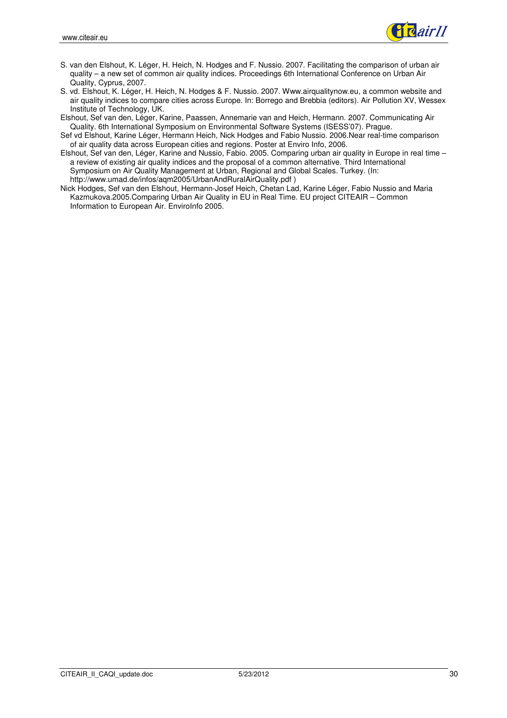

- S. van den Elshout, K. Léger, H. Heich, N. Hodges and F. Nussio. 2007. Facilitating the comparison of urban air quality – a new set of common air quality indices. Proceedings 6th International Conference on Urban Air Quality, Cyprus, 2007.
- S. vd. Elshout, K. Léger, H. Heich, N. Hodges & F. Nussio. 2007. Www.airqualitynow.eu, a common website and air quality indices to compare cities across Europe. In: Borrego and Brebbia (editors). Air Pollution XV, Wessex Institute of Technology, UK.
- Elshout, Sef van den, Léger, Karine, Paassen, Annemarie van and Heich, Hermann. 2007. Communicating Air Quality. 6th International Symposium on Environmental Software Systems (ISESS'07). Prague.
- Sef vd Elshout, Karine Léger, Hermann Heich, Nick Hodges and Fabio Nussio. 2006.Near real-time comparison of air quality data across European cities and regions. Poster at Enviro Info, 2006.
- Elshout, Sef van den, Léger, Karine and Nussio, Fabio. 2005. Comparing urban air quality in Europe in real time a review of existing air quality indices and the proposal of a common alternative. Third International Symposium on Air Quality Management at Urban, Regional and Global Scales. Turkey. (In: http://www.umad.de/infos/aqm2005/UrbanAndRuralAirQuality.pdf )
- Nick Hodges, Sef van den Elshout, Hermann-Josef Heich, Chetan Lad, Karine Léger, Fabio Nussio and Maria Kazmukova.2005.Comparing Urban Air Quality in EU in Real Time. EU project CITEAIR – Common Information to European Air. EnviroInfo 2005.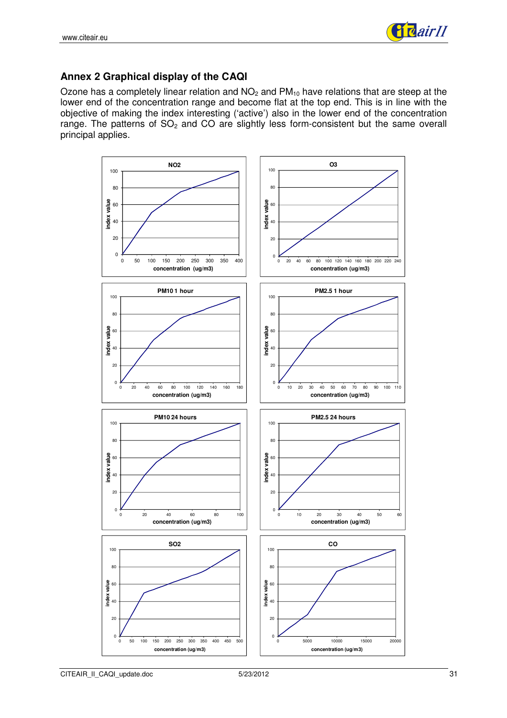

### **Annex 2 Graphical display of the CAQI**

Ozone has a completely linear relation and  $NO<sub>2</sub>$  and  $PM<sub>10</sub>$  have relations that are steep at the lower end of the concentration range and become flat at the top end. This is in line with the objective of making the index interesting ('active') also in the lower end of the concentration range. The patterns of  $SO<sub>2</sub>$  and CO are slightly less form-consistent but the same overall principal applies.

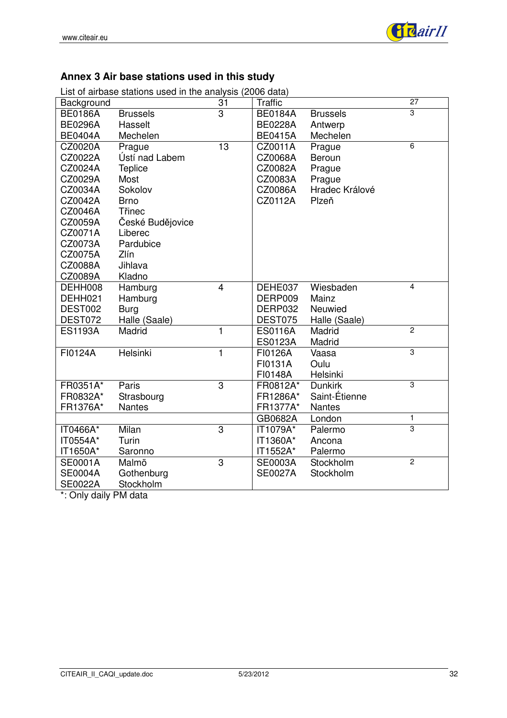

# **Annex 3 Air base stations used in this study**

|  |  |  | List of airbase stations used in the analysis (2006 data) |  |
|--|--|--|-----------------------------------------------------------|--|
|  |  |  |                                                           |  |

| Background     |                  | 31             | <b>Traffic</b> |                 | 27             |
|----------------|------------------|----------------|----------------|-----------------|----------------|
| <b>BE0186A</b> | <b>Brussels</b>  | 3              | <b>BE0184A</b> | <b>Brussels</b> | 3              |
| <b>BE0296A</b> | Hasselt          |                | <b>BE0228A</b> | Antwerp         |                |
| <b>BE0404A</b> | Mechelen         |                | <b>BE0415A</b> | Mechelen        |                |
| CZ0020A        | Prague           | 13             | CZ0011A        | Prague          | 6              |
| CZ0022A        | Ústí nad Labem   |                | CZ0068A        | Beroun          |                |
| CZ0024A        | <b>Teplice</b>   |                | CZ0082A        | Prague          |                |
| CZ0029A        | Most             |                | CZ0083A        | Prague          |                |
| CZ0034A        | Sokolov          |                | CZ0086A        | Hradec Králové  |                |
| CZ0042A        | <b>Brno</b>      |                | CZ0112A        | Plzeň           |                |
| CZ0046A        | <b>T</b> řinec   |                |                |                 |                |
| CZ0059A        | České Budějovice |                |                |                 |                |
| CZ0071A        | Liberec          |                |                |                 |                |
| CZ0073A        | Pardubice        |                |                |                 |                |
| CZ0075A        | Zlín             |                |                |                 |                |
| CZ0088A        | Jihlava          |                |                |                 |                |
| CZ0089A        | Kladno           |                |                |                 |                |
| DEHH008        | Hamburg          | $\overline{4}$ | DEHE037        | Wiesbaden       | $\overline{4}$ |
| DEHH021        | Hamburg          |                | DERP009        | Mainz           |                |
| DEST002        | <b>Burg</b>      |                | DERP032        | Neuwied         |                |
| DEST072        | Halle (Saale)    |                | DEST075        | Halle (Saale)   |                |
| <b>ES1193A</b> | Madrid           | $\mathbf{1}$   | <b>ES0116A</b> | Madrid          | $\overline{2}$ |
|                |                  |                | <b>ES0123A</b> | Madrid          |                |
| FI0124A        | Helsinki         | 1              | FI0126A        | Vaasa           | 3              |
|                |                  |                | FI0131A        | Oulu            |                |
|                |                  |                | FI0148A        | Helsinki        |                |
| FR0351A*       | Paris            | $\overline{3}$ | FR0812A*       | <b>Dunkirk</b>  | 3              |
| FR0832A*       | Strasbourg       |                | FR1286A*       | Saint-Étienne   |                |
| FR1376A*       | <b>Nantes</b>    |                | FR1377A*       | <b>Nantes</b>   |                |
|                |                  |                | GB0682A        | London          | $\mathbf{1}$   |
| IT0466A*       | Milan            | $\overline{3}$ | IT1079A*       | Palermo         | $\overline{3}$ |
| IT0554A*       | Turin            |                | IT1360A*       | Ancona          |                |
| IT1650A*       | Saronno          |                | IT1552A*       | Palermo         |                |
| <b>SE0001A</b> | Malmö            | $\overline{3}$ | <b>SE0003A</b> | Stockholm       | $\overline{2}$ |
| <b>SE0004A</b> | Gothenburg       |                | <b>SE0027A</b> | Stockholm       |                |
| <b>SE0022A</b> | Stockholm        |                |                |                 |                |

\*: Only daily PM data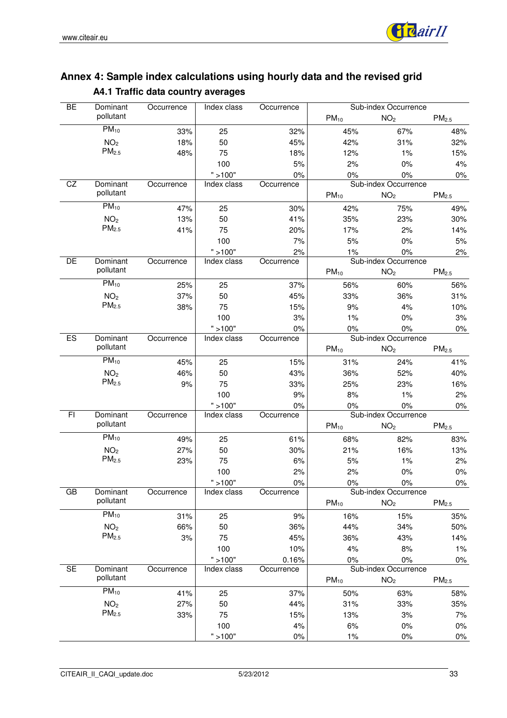

| BE | Dominant          | Occurrence | Index class | Occurrence |           | Sub-index Occurrence |                   |
|----|-------------------|------------|-------------|------------|-----------|----------------------|-------------------|
|    | pollutant         |            |             |            | $PM_{10}$ | NO <sub>2</sub>      | PM <sub>2.5</sub> |
|    | $PM_{10}$         | 33%        | 25          | 32%        | 45%       | 67%                  | 48%               |
|    | NO <sub>2</sub>   | 18%        | 50          | 45%        | 42%       | 31%                  | 32%               |
|    | PM <sub>2.5</sub> | 48%        | 75          | 18%        | 12%       | 1%                   | 15%               |
|    |                   |            | 100         | 5%         | 2%        | $0\%$                | 4%                |
|    |                   |            | " > 100"    | 0%         | 0%        | $0\%$                | $0\%$             |
| CZ | Dominant          | Occurrence | Index class | Occurrence |           | Sub-index Occurrence |                   |
|    | pollutant         |            |             |            | $PM_{10}$ | NO <sub>2</sub>      | PM <sub>2.5</sub> |
|    | $PM_{10}$         | 47%        | 25          | 30%        | 42%       | 75%                  | 49%               |
|    | NO <sub>2</sub>   | 13%        | 50          | 41%        | 35%       | 23%                  | 30%               |
|    | PM <sub>2.5</sub> | 41%        | 75          | 20%        | 17%       | 2%                   | 14%               |
|    |                   |            | 100         | 7%         | $5%$      | $0\%$                | $5%$              |
|    |                   |            | " > 100"    | 2%         | $1\%$     | $0\%$                | 2%                |
| DE | Dominant          | Occurrence | Index class | Occurrence |           | Sub-index Occurrence |                   |
|    | pollutant         |            |             |            | $PM_{10}$ | NO <sub>2</sub>      | PM <sub>2.5</sub> |
|    | $PM_{10}$         | 25%        | 25          | 37%        | 56%       | 60%                  | 56%               |
|    | NO <sub>2</sub>   | 37%        | 50          | 45%        | 33%       | 36%                  | 31%               |
|    | PM <sub>2.5</sub> | 38%        | 75          | 15%        | 9%        | 4%                   | 10%               |
|    |                   |            | 100         | 3%         | 1%        | $0\%$                | 3%                |
|    |                   |            | " > 100"    | 0%         | 0%        | $0\%$                | $0\%$             |
| ES | Dominant          | Occurrence | Index class | Occurrence |           | Sub-index Occurrence |                   |
|    | pollutant         |            |             |            | $PM_{10}$ | NO <sub>2</sub>      | PM <sub>2.5</sub> |
|    | $PM_{10}$         | 45%        | 25          | 15%        | 31%       | 24%                  | 41%               |
|    | NO <sub>2</sub>   | 46%        | 50          | 43%        | 36%       | 52%                  | 40%               |
|    | PM <sub>2.5</sub> | 9%         | 75          | 33%        | 25%       | 23%                  | 16%               |
|    |                   |            | 100         | 9%         | 8%        | $1\%$                | 2%                |
|    |                   |            | " > 100"    | 0%         | 0%        | $0\%$                | $0\%$             |
| F1 | Dominant          | Occurrence | Index class | Occurrence |           | Sub-index Occurrence |                   |
|    | pollutant         |            |             |            | $PM_{10}$ | NO <sub>2</sub>      | PM <sub>2.5</sub> |
|    | $PM_{10}$         | 49%        | 25          | 61%        | 68%       | 82%                  | 83%               |
|    | NO <sub>2</sub>   | 27%        | 50          | 30%        | 21%       | 16%                  | 13%               |
|    | PM <sub>2.5</sub> | 23%        | 75          | 6%         | $5%$      | 1%                   | 2%                |
|    |                   |            | 100         | 2%         | 2%        | $0\%$                | $0\%$             |
|    |                   |            | " > 100"    | $0\%$      | $0\%$     | 0%                   | $0\%$             |
| GB | Dominant          | Occurrence | Index class | Occurrence |           | Sub-index Occurrence |                   |
|    | pollutant         |            |             |            | $PM_{10}$ | NO <sub>2</sub>      | PM <sub>2.5</sub> |
|    | $PM_{10}$         | 31%        | 25          | 9%         | 16%       | 15%                  | $35%$             |
|    | NO <sub>2</sub>   | 66%        | 50          | 36%        | 44%       | 34%                  | 50%               |
|    | PM <sub>2.5</sub> | 3%         | 75          | 45%        | 36%       | 43%                  | 14%               |
|    |                   |            | 100         | 10%        | 4%        | 8%                   | 1%                |
|    |                   |            | " > 100"    | 0.16%      | $0\%$     | $0\%$                | $0\%$             |
| SE | Dominant          | Occurrence | Index class | Occurrence |           | Sub-index Occurrence |                   |
|    | pollutant         |            |             |            | $PM_{10}$ | NO <sub>2</sub>      | PM <sub>2.5</sub> |
|    | $PM_{10}$         | 41%        | 25          | 37%        | 50%       | 63%                  | 58%               |
|    | NO <sub>2</sub>   | 27%        | 50          | 44%        | 31%       | 33%                  | 35%               |
|    | $PM2.5$           | 33%        | 75          | 15%        | 13%       | 3%                   | 7%                |
|    |                   |            | 100         | 4%         | 6%        | $0\%$                | $0\%$             |
|    |                   |            | " > 100"    | $0\%$      | 1%        | $0\%$                | $0\%$             |

# **Annex 4: Sample index calculations using hourly data and the revised grid A4.1 Traffic data country averages**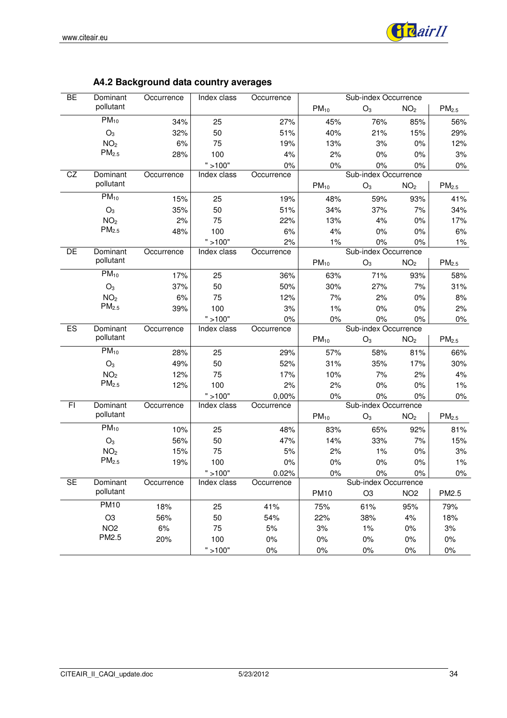

| A4.2 Background data country averages |  |
|---------------------------------------|--|
|---------------------------------------|--|

| <b>BE</b> | Dominant             | Occurrence | Index class     | Occurrence |             | Sub-index Occurrence |                 |                     |
|-----------|----------------------|------------|-----------------|------------|-------------|----------------------|-----------------|---------------------|
|           | pollutant            |            |                 |            | $PM_{10}$   | $O_3$                | NO <sub>2</sub> | PM <sub>2.5</sub>   |
|           | $PM_{10}$            | 34%        | 25              | 27%        | 45%         | 76%                  | 85%             | 56%                 |
|           | $O_3$                | 32%        | 50              | 51%        | 40%         | 21%                  | 15%             | 29%                 |
|           | NO <sub>2</sub>      | 6%         | 75              | 19%        | 13%         | 3%                   | 0%              | 12%                 |
|           | $PM2.5$              | 28%        | 100             | 4%         | 2%          | 0%                   | 0%              | 3%                  |
|           |                      |            | " > 100"        | $0\%$      | $0\%$       | $0\%$                | 0%              | $0\%$               |
| CZ        | Dominant             | Occurrence | Index class     | Occurrence |             | Sub-index Occurrence |                 |                     |
|           | pollutant            |            |                 |            | $PM_{10}$   | $O_3$                | NO <sub>2</sub> | $\mathsf{PM}_{2.5}$ |
|           | $\overline{PM}_{10}$ | 15%        | 25              | 19%        | 48%         | 59%                  | 93%             | 41%                 |
|           | $O_3$                | 35%        | 50              | 51%        | 34%         | 37%                  | 7%              | 34%                 |
|           | NO <sub>2</sub>      | 2%         | 75              | 22%        | 13%         | 4%                   | 0%              | 17%                 |
|           | PM <sub>2.5</sub>    | 48%        | 100             | 6%         | 4%          | $0\%$                | 0%              | $6\%$               |
|           |                      |            | " > 100"        | 2%         | $1\%$       | 0%                   | 0%              | $1\%$               |
| DE        | Dominant             | Occurrence | Index class     | Occurrence |             | Sub-index Occurrence |                 |                     |
|           | pollutant            |            |                 |            | $PM_{10}$   | $O_3$                | NO <sub>2</sub> | $PM2.5$             |
|           | $PM_{10}$            | 17%        | 25              | 36%        | 63%         | 71%                  | 93%             | 58%                 |
|           | $O_3$                | 37%        | 50              | 50%        | 30%         | 27%                  | 7%              | 31%                 |
|           | NO <sub>2</sub>      | 6%         | 75              | 12%        | 7%          | 2%                   | 0%              | 8%                  |
|           | PM <sub>2.5</sub>    | 39%        | 100             | 3%         | 1%          | 0%                   | 0%              | 2%                  |
|           |                      |            | " > 100"        | 0%         | $0\%$       | $0\%$                | 0%              | $0\%$               |
| ES        | Dominant             | Occurrence | Index class     | Occurrence |             | Sub-index Occurrence |                 |                     |
|           | pollutant            |            |                 |            | $PM_{10}$   | $O_3$                | NO <sub>2</sub> | $\mathsf{PM}_{2.5}$ |
|           | $PM_{10}$            | 28%        | 25              | 29%        | 57%         | 58%                  | 81%             | 66%                 |
|           | $O_3$                | 49%        | 50              | 52%        | 31%         | 35%                  | 17%             | 30%                 |
|           | NO <sub>2</sub>      | 12%        | 75              | 17%        | 10%         | 7%                   | 2%              | 4%                  |
|           | PM <sub>2.5</sub>    | 12%        | 100             | 2%         | 2%          | $0\%$                | 0%              | 1%                  |
|           |                      |            | " > 100"        | 0,00%      | 0%          |                      |                 |                     |
| F1        |                      |            |                 |            |             | 0%                   | 0%              | $0\%$               |
|           | Dominant             | Occurrence | Index class     | Occurrence |             | Sub-index Occurrence |                 |                     |
|           | pollutant            |            |                 |            | $PM_{10}$   | $O_3$                | NO <sub>2</sub> | $\mathsf{PM}_{2.5}$ |
|           | $PM_{10}$            | 10%        | 25              | 48%        | 83%         | 65%                  | 92%             | 81%                 |
|           | $O_3$                | 56%        | 50              | 47%        | 14%         | 33%                  | 7%              | 15%                 |
|           | NO <sub>2</sub>      | 15%        | 75              | 5%         | 2%          | 1%                   | 0%              | 3%                  |
|           | PM <sub>2.5</sub>    | 19%        | 100             | $0\%$      | $0\%$       | 0%                   | 0%              | 1%                  |
|           |                      |            | " > 100"        | 0.02%      | $0\%$       | $0\%$                | $0\%$           | $0\%$               |
| <b>SE</b> | Dominant             | Occurrence | Index class     | Occurrence |             | Sub-index Occurrence |                 |                     |
|           | pollutant            |            |                 |            | <b>PM10</b> | O <sub>3</sub>       | NO <sub>2</sub> | PM2.5               |
|           | <b>PM10</b>          | 18%        | 25              | 41%        | 75%         | 61%                  | 95%             | 79%                 |
|           | O <sub>3</sub>       | 56%        | 50              | 54%        | 22%         | 38%                  | 4%              | 18%                 |
|           | NO <sub>2</sub>      | 6%         | 75              | 5%         | 3%          | $1\%$                | 0%              | 3%                  |
|           | PM2.5                | 20%        | 100<br>" > 100" | $0\%$      | $0\%$       | $0\%$<br>$0\%$       | $0\%$<br>$0\%$  | $0\%$<br>$0\%$      |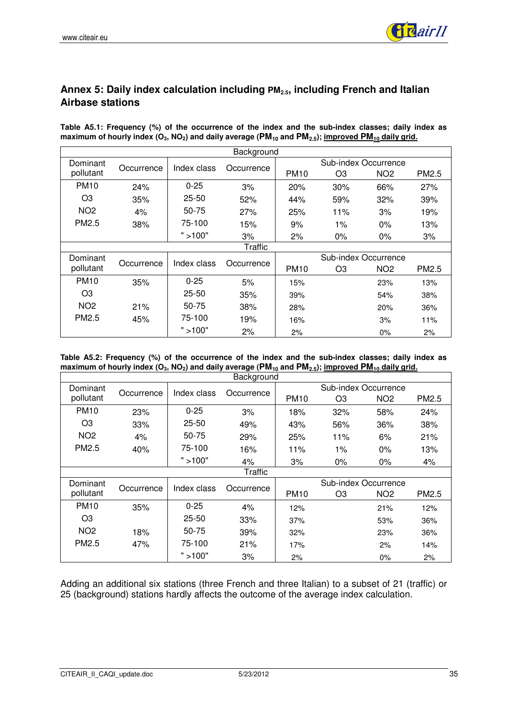

### **Annex 5: Daily index calculation including PM2.5, including French and Italian Airbase stations**

**Table A5.1: Frequency (%) of the occurrence of the index and the sub-index classes; daily index as maximum of hourly index (O3, NO2) and daily average (PM10 and PM2.5); improved PM10 daily grid.** 

|                 | Background |             |            |                      |                      |                 |       |  |  |
|-----------------|------------|-------------|------------|----------------------|----------------------|-----------------|-------|--|--|
| Dominant        | Occurrence | Index class | Occurrence |                      | Sub-index Occurrence |                 |       |  |  |
| pollutant       |            |             |            | <b>PM10</b>          | O3                   | NO <sub>2</sub> | PM2.5 |  |  |
| <b>PM10</b>     | 24%        | $0 - 25$    | 3%         | 20%                  | 30%                  | 66%             | 27%   |  |  |
| O <sub>3</sub>  | 35%        | $25 - 50$   | 52%        | 44%                  | 59%                  | 32%             | 39%   |  |  |
| NO <sub>2</sub> | 4%         | 50-75       | 27%        | 25%                  | 11%                  | 3%              | 19%   |  |  |
| PM2.5           | 38%        | 75-100      | 15%        | 9%                   | $1\%$                | $0\%$           | 13%   |  |  |
|                 |            | " > 100"    | 3%         | 2%                   | $0\%$                | $0\%$           | 3%    |  |  |
|                 |            |             | Traffic    |                      |                      |                 |       |  |  |
| Dominant        | Occurrence | Index class | Occurrence | Sub-index Occurrence |                      |                 |       |  |  |
| pollutant       |            |             |            | <b>PM10</b>          | O <sub>3</sub>       | NO <sub>2</sub> | PM2.5 |  |  |
| <b>PM10</b>     | 35%        | $0 - 25$    | 5%         | 15%                  |                      | 23%             | 13%   |  |  |
| O <sub>3</sub>  |            | $25 - 50$   | 35%        | 39%                  |                      | 54%             | 38%   |  |  |
| NO <sub>2</sub> | 21%        | 50-75       | 38%        | 28%                  |                      | 20%             | 36%   |  |  |
| PM2.5           | 45%        | 75-100      | 19%        | 16%                  |                      | 3%              | 11%   |  |  |
|                 |            | ">100"      | 2%         | 2%                   |                      | 0%              | 2%    |  |  |

**Table A5.2: Frequency (%) of the occurrence of the index and the sub-index classes; daily index as maximum of hourly index (O3, NO2) and daily average (PM10 and PM2.5); improved PM10 daily grid.** 

|                 | Background |             |                |                      |                      |                 |       |  |
|-----------------|------------|-------------|----------------|----------------------|----------------------|-----------------|-------|--|
| Dominant        | Occurrence | Index class | Occurrence     |                      | Sub-index Occurrence |                 |       |  |
| pollutant       |            |             |                | <b>PM10</b>          | O3                   | NO <sub>2</sub> | PM2.5 |  |
| <b>PM10</b>     | 23%        | $0 - 25$    | 3%             | 18%                  | 32%                  | 58%             | 24%   |  |
| O <sub>3</sub>  | 33%        | $25 - 50$   | 49%            | 43%                  | 56%                  | 36%             | 38%   |  |
| NO <sub>2</sub> | 4%         | 50-75       | 29%            | 25%                  | 11%                  | 6%              | 21%   |  |
| PM2.5           | 40%        | 75-100      | 16%            | 11%                  | $1\%$                | $0\%$           | 13%   |  |
|                 |            | ">100"      | 4%             | 3%                   | $0\%$                | $0\%$           | 4%    |  |
|                 |            |             | <b>Traffic</b> |                      |                      |                 |       |  |
| Dominant        |            | Index class | Occurrence     | Sub-index Occurrence |                      |                 |       |  |
| pollutant       | Occurrence |             |                | <b>PM10</b>          | O3                   | NO <sub>2</sub> | PM2.5 |  |
| <b>PM10</b>     | 35%        | $0 - 25$    | 4%             | 12%                  |                      | 21%             | 12%   |  |
| O <sub>3</sub>  |            | $25 - 50$   | 33%            | 37%                  |                      | 53%             | 36%   |  |
| NO <sub>2</sub> | 18%        | 50-75       | 39%            | 32%                  |                      | 23%             | 36%   |  |
| PM2.5           | 47%        | 75-100      | 21%            | 17%                  |                      | 2%              | 14%   |  |
|                 |            | ">100"      | 3%             | 2%                   |                      | $0\%$           | 2%    |  |

Adding an additional six stations (three French and three Italian) to a subset of 21 (traffic) or 25 (background) stations hardly affects the outcome of the average index calculation.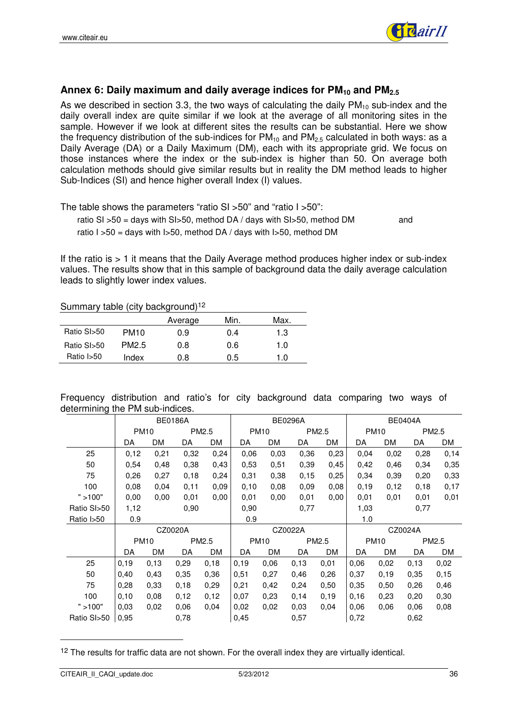

#### **Annex 6: Daily maximum and daily average indices for PM10 and PM2.5**

As we described in section 3.3, the two ways of calculating the daily  $PM_{10}$  sub-index and the daily overall index are quite similar if we look at the average of all monitoring sites in the sample. However if we look at different sites the results can be substantial. Here we show the frequency distribution of the sub-indices for  $PM_{10}$  and  $PM_{2.5}$  calculated in both ways: as a Daily Average (DA) or a Daily Maximum (DM), each with its appropriate grid. We focus on those instances where the index or the sub-index is higher than 50. On average both calculation methods should give similar results but in reality the DM method leads to higher Sub-Indices (SI) and hence higher overall Index (I) values.

The table shows the parameters "ratio SI >50" and "ratio I >50":

ratio SI  $>50$  = days with SI $>50$ , method DA / days with SI $>50$ , method DM and ratio  $1 > 50$  = days with  $1 > 50$ , method DA / days with  $1 > 50$ , method DM

If the ratio is  $> 1$  it means that the Daily Average method produces higher index or sub-index values. The results show that in this sample of background data the daily average calculation leads to slightly lower index values.

Summary table (city background)<sup>12</sup>

|             |                   | Average | Min. | Max. |
|-------------|-------------------|---------|------|------|
| Ratio SI>50 | <b>PM10</b>       | 0.9     | 0.4  | 1.3  |
| Ratio SI>50 | PM <sub>2.5</sub> | 0.8     | 0.6  | 1.0  |
| Ratio I>50  | Index             | 0.8     | 0.5  | 1.0  |

Frequency distribution and ratio's for city background data comparing two ways of determining the PM sub-indices.

|                            | <b>BE0186A</b> |         |                   |      |             |      | <b>BE0296A</b> |      | <b>BE0404A</b> |           |       |      |
|----------------------------|----------------|---------|-------------------|------|-------------|------|----------------|------|----------------|-----------|-------|------|
|                            | <b>PM10</b>    |         | PM2.5             |      | <b>PM10</b> |      | PM2.5          |      | <b>PM10</b>    |           | PM2.5 |      |
|                            | DA             | DM      | DA                | DM   | DA          | DM   | DA             | DM   | DA             | DM        | DA    | DM   |
| 25                         | 0,12           | 0,21    | 0,32              | 0,24 | 0,06        | 0,03 | 0,36           | 0,23 | 0,04           | 0,02      | 0,28  | 0,14 |
| 50                         | 0,54           | 0,48    | 0.38              | 0,43 | 0,53        | 0,51 | 0,39           | 0,45 | 0,42           | 0,46      | 0,34  | 0,35 |
| 75                         | 0,26           | 0,27    | 0,18              | 0,24 | 0,31        | 0,38 | 0,15           | 0,25 | 0,34           | 0,39      | 0,20  | 0,33 |
| 100                        | 0,08           | 0.04    | 0,11              | 0,09 | 0,10        | 0.08 | 0,09           | 0,08 | 0,19           | 0,12      | 0,18  | 0,17 |
| " > 100"                   | 0,00           | 0,00    | 0,01              | 0,00 | 0,01        | 0,00 | 0,01           | 0,00 | 0,01           | 0,01      | 0,01  | 0,01 |
| Ratio SI <sub>&gt;50</sub> | 1,12           |         | 0,90              |      | 0,90        |      | 0,77           |      | 1,03           |           | 0,77  |      |
| Ratio I>50                 | 0.9            |         |                   |      | 0.9         |      |                |      | 1.0            |           |       |      |
|                            |                | CZ0020A |                   |      |             |      | CZ0022A        |      | CZ0024A        |           |       |      |
|                            | <b>PM10</b>    |         | PM <sub>2.5</sub> |      | <b>PM10</b> |      | PM2.5          |      | <b>PM10</b>    |           | PM2.5 |      |
|                            | DA             | DM      | DA                | DM   | DA          | DM   | DA             | DM   | DA             | <b>DM</b> | DA    | DM   |
| 25                         | 0.19           | 0,13    | 0,29              | 0,18 | 0,19        | 0,06 | 0,13           | 0,01 | 0.06           | 0,02      | 0,13  | 0,02 |
| 50                         | 0,40           | 0,43    | 0,35              | 0,36 | 0,51        | 0,27 | 0.46           | 0,26 | 0,37           | 0,19      | 0,35  | 0,15 |
| 75                         | 0,28           | 0,33    | 0,18              | 0,29 | 0,21        | 0,42 | 0,24           | 0,50 | 0,35           | 0,50      | 0,26  | 0,46 |
| 100                        | 0,10           | 0,08    | 0,12              | 0,12 | 0,07        | 0,23 | 0,14           | 0,19 | 0,16           | 0,23      | 0,20  | 0,30 |
| " > 100"                   | 0.03           | 0,02    | 0,06              | 0,04 | 0,02        | 0,02 | 0,03           | 0.04 | 0,06           | 0,06      | 0.06  | 0,08 |
| Ratio SI>50                | 0,95           |         | 0,78              |      | 0,45        |      | 0,57           |      | 0,72           |           | 0,62  |      |

<sup>12</sup> The results for traffic data are not shown. For the overall index they are virtually identical.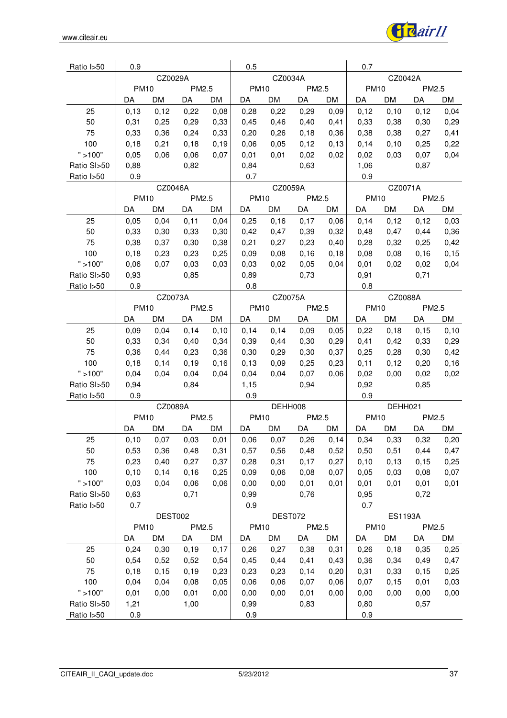

| Ratio I>50  | 0.9         |           |       |       | 0.5         |           |       |         | 0.7         |       |       |      |
|-------------|-------------|-----------|-------|-------|-------------|-----------|-------|---------|-------------|-------|-------|------|
|             | CZ0029A     |           |       |       | CZ0034A     |           |       |         | CZ0042A     |       |       |      |
|             | <b>PM10</b> |           | PM2.5 |       | <b>PM10</b> |           | PM2.5 |         | <b>PM10</b> |       | PM2.5 |      |
|             | DA          | DM        | DA    | DM    | DA          | DM        | DA    | DM      | DA          | DM    | DA    | DM   |
| 25          | 0,13        | 0,12      | 0,22  | 0,08  | 0,28        | 0,22      | 0,29  | 0,09    | 0,12        | 0,10  | 0,12  | 0,04 |
| 50          | 0,31        | 0,25      | 0,29  | 0,33  | 0,45        | 0,46      | 0,40  | 0,41    | 0,33        | 0,38  | 0,30  | 0,29 |
| 75          | 0,33        | 0,36      | 0,24  | 0,33  | 0,20        | 0,26      | 0,18  | 0,36    | 0,38        | 0,38  | 0,27  | 0,41 |
| 100         | 0,18        | 0,21      | 0,18  | 0,19  | 0,06        | 0,05      | 0,12  | 0, 13   | 0,14        | 0,10  | 0,25  | 0,22 |
| " > 100"    | 0,05        | 0,06      | 0,06  | 0,07  | 0,01        | 0,01      | 0,02  | 0,02    | 0,02        | 0,03  | 0,07  | 0,04 |
| Ratio SI>50 | 0,88        |           | 0,82  |       | 0,84        |           | 0,63  |         | 1,06        |       | 0,87  |      |
| Ratio I>50  | 0.9         |           |       |       | 0.7         |           |       |         | 0.9         |       |       |      |
|             | CZ0046A     |           |       |       | CZ0059A     |           |       | CZ0071A |             |       |       |      |
|             | <b>PM10</b> |           | PM2.5 |       | <b>PM10</b> |           | PM2.5 |         | <b>PM10</b> |       | PM2.5 |      |
|             | DA          | DM        | DA    | DM    | DA          | DM        | DA    | DM      | DA          | DM    | DA    | DM   |
| 25          | 0,05        | 0,04      | 0,11  | 0,04  | 0,25        | 0,16      | 0,17  | 0,06    | 0,14        | 0,12  | 0,12  | 0,03 |
| 50          | 0,33        | 0,30      | 0,33  | 0,30  | 0,42        | 0,47      | 0,39  | 0,32    | 0,48        | 0,47  | 0,44  | 0,36 |
| 75          | 0,38        | 0,37      | 0,30  | 0,38  | 0,21        | 0,27      | 0,23  | 0,40    | 0,28        | 0,32  | 0,25  | 0,42 |
| 100         | 0,18        | 0,23      | 0,23  | 0,25  | 0,09        | 0,08      | 0,16  | 0,18    | 0,08        | 0,08  | 0,16  | 0,15 |
| " > 100"    | 0,06        | 0,07      | 0,03  | 0,03  | 0,03        | 0,02      | 0,05  | 0,04    | 0,01        | 0,02  | 0,02  | 0,04 |
| Ratio SI>50 | 0,93        |           | 0,85  |       | 0,89        |           | 0,73  |         | 0,91        |       | 0,71  |      |
| Ratio I>50  | 0.9         |           |       |       | 0.8         |           |       |         | 0.8         |       |       |      |
|             |             | CZ0073A   |       |       |             | CZ0075A   |       |         | CZ0088A     |       |       |      |
|             | <b>PM10</b> |           | PM2.5 |       | <b>PM10</b> |           | PM2.5 |         | <b>PM10</b> |       | PM2.5 |      |
|             | DA          | <b>DM</b> | DA    | DM    | DA          | <b>DM</b> | DA    | DM      | DA          | DM    | DA    | DM   |
| 25          | 0,09        | 0,04      | 0,14  | 0,10  | 0,14        | 0,14      | 0,09  | 0,05    | 0,22        | 0,18  | 0,15  | 0,10 |
| 50          | 0,33        | 0,34      | 0,40  | 0,34  | 0,39        | 0,44      | 0,30  | 0,29    | 0,41        | 0,42  | 0,33  | 0,29 |
| 75          | 0,36        | 0,44      | 0,23  | 0,36  | 0,30        | 0,29      | 0,30  | 0,37    | 0,25        | 0,28  | 0,30  | 0,42 |
| 100         | 0,18        | 0,14      | 0,19  | 0, 16 | 0,13        | 0,09      | 0,25  | 0,23    | 0,11        | 0,12  | 0,20  | 0,16 |
| " > 100"    | 0,04        | 0,04      | 0,04  | 0,04  | 0,04        | 0,04      | 0,07  | 0,06    | 0,02        | 0,00  | 0,02  | 0,02 |
| Ratio SI>50 | 0,94        |           | 0,84  |       | 1,15        |           | 0,94  |         | 0,92        |       | 0,85  |      |
| Ratio I>50  | 0.9         |           |       |       | 0.9         |           |       |         | 0.9         |       |       |      |
|             |             | CZ0089A   |       |       | DEHH008     |           |       |         | DEHH021     |       |       |      |
|             | <b>PM10</b> |           | PM2.5 |       | <b>PM10</b> |           | PM2.5 |         | <b>PM10</b> |       | PM2.5 |      |
|             | DA          | DM        | DA    | DM    | DA          | DM        | DA    | DM      | DA          | DM    | DA    | DM   |
| 25          | 0,10        | 0,07      | 0,03  | 0,01  | 0,06        | 0,07      | 0,26  | 0,14    | 0,34        | 0,33  | 0,32  | 0,20 |
| 50          | 0,53        | 0,36      | 0,48  | 0,31  | 0,57        | 0,56      | 0,48  | 0,52    | 0,50        | 0,51  | 0,44  | 0,47 |
| 75          | 0,23        | 0,40      | 0,27  | 0,37  | 0,28        | 0,31      | 0,17  | 0,27    | 0,10        | 0, 13 | 0,15  | 0,25 |
| 100         | 0,10        | 0,14      | 0,16  | 0,25  | 0,09        | 0,06      | 0,08  | 0,07    | 0,05        | 0,03  | 0,08  | 0,07 |
| " > 100"    | 0,03        | 0,04      | 0,06  | 0,06  | 0,00        | 0,00      | 0,01  | 0,01    | 0,01        | 0,01  | 0,01  | 0,01 |
| Ratio SI>50 | 0,63        |           | 0,71  |       | 0,99        |           | 0,76  |         | 0,95        |       | 0,72  |      |
| Ratio I>50  | 0.7         |           |       |       | 0.9         |           |       |         | 0.7         |       |       |      |
|             |             | DEST002   |       |       | DEST072     |           |       |         | ES1193A     |       |       |      |
|             | <b>PM10</b> |           | PM2.5 |       | <b>PM10</b> |           | PM2.5 |         | <b>PM10</b> |       | PM2.5 |      |
|             | DA          | DM        | DA    | DM    | DA          | DM        | DA    | DM      | DA          | DM    | DA    | DM   |
| 25          | 0,24        | 0,30      | 0,19  | 0,17  | 0,26        | 0,27      | 0,38  | 0,31    | 0,26        | 0,18  | 0,35  | 0,25 |
| $50\,$      | 0,54        | 0,52      | 0,52  | 0,54  | 0,45        | 0,44      | 0,41  | 0,43    | 0,36        | 0,34  | 0,49  | 0,47 |
| 75          | 0, 18       | 0,15      | 0,19  | 0,23  | 0,23        | 0,23      | 0,14  | 0,20    | 0,31        | 0,33  | 0,15  | 0,25 |
| 100         | 0,04        | 0,04      | 0,08  | 0,05  | 0,06        | 0,06      | 0,07  | 0,06    | 0,07        | 0,15  | 0,01  | 0,03 |
| " > 100"    | 0,01        | 0,00      | 0,01  | 0,00  | 0,00        | 0,00      | 0,01  | 0,00    | 0,00        | 0,00  | 0,00  | 0,00 |
| Ratio SI>50 | 1,21        |           | 1,00  |       | 0,99        |           | 0,83  |         | 0,80        |       | 0,57  |      |
| Ratio I>50  | 0.9         |           |       |       | 0.9         |           |       |         | 0.9         |       |       |      |